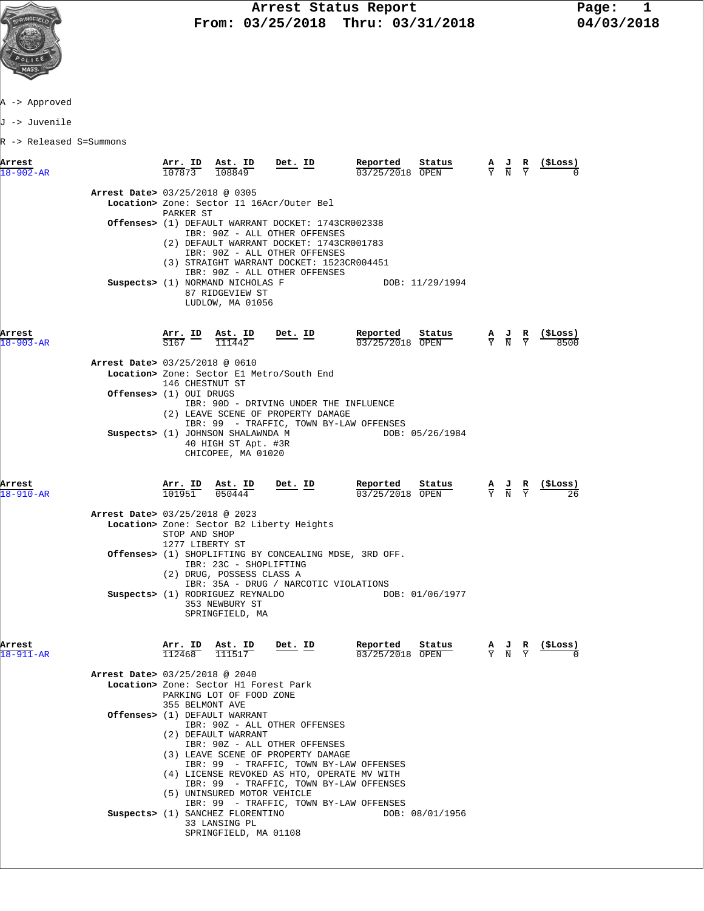

J -> Juvenile

R -> Released S=Summons

| Arrest                    |                                | Arr. ID                  | Ast. ID                                                                                               | Det. ID                                                                                                                                                 | Reported                    | Status          | AJ.<br>$\overline{N}$                                                                                 | R | (\$Loss)        |
|---------------------------|--------------------------------|--------------------------|-------------------------------------------------------------------------------------------------------|---------------------------------------------------------------------------------------------------------------------------------------------------------|-----------------------------|-----------------|-------------------------------------------------------------------------------------------------------|---|-----------------|
| $18 - 902 - AR$           |                                | 107873                   | 108849                                                                                                |                                                                                                                                                         | 03/25/2018 OPEN             |                 |                                                                                                       |   |                 |
|                           | Arrest Date> 03/25/2018 @ 0305 |                          |                                                                                                       | Location> Zone: Sector I1 16Acr/Outer Bel                                                                                                               |                             |                 |                                                                                                       |   |                 |
|                           |                                | PARKER ST                |                                                                                                       | Offenses> (1) DEFAULT WARRANT DOCKET: 1743CR002338                                                                                                      |                             |                 |                                                                                                       |   |                 |
|                           |                                |                          |                                                                                                       | IBR: 90Z - ALL OTHER OFFENSES<br>(2) DEFAULT WARRANT DOCKET: 1743CR001783<br>IBR: 90Z - ALL OTHER OFFENSES<br>(3) STRAIGHT WARRANT DOCKET: 1523CR004451 |                             |                 |                                                                                                       |   |                 |
|                           |                                |                          | Suspects> (1) NORMAND NICHOLAS F<br>87 RIDGEVIEW ST                                                   | IBR: 90Z - ALL OTHER OFFENSES                                                                                                                           |                             | DOB: 11/29/1994 |                                                                                                       |   |                 |
|                           |                                |                          | LUDLOW, MA 01056                                                                                      |                                                                                                                                                         |                             |                 |                                                                                                       |   |                 |
| Arrest<br>$18 - 903 - AR$ |                                |                          | $\frac{\texttt{Arr.}}{\texttt{S167}}$ $\frac{\texttt{ID}}{2}$ $\frac{\texttt{Ast.}}{\texttt{I11442}}$ | <u>Det. ID</u>                                                                                                                                          | Reported<br>03/25/2018 OPEN | Status          | $\frac{A}{Y}$ $\frac{J}{N}$ $\frac{R}{Y}$                                                             |   | (ŞLoss)<br>8500 |
|                           | Arrest Date> 03/25/2018 @ 0610 |                          |                                                                                                       |                                                                                                                                                         |                             |                 |                                                                                                       |   |                 |
|                           |                                | 146 CHESTNUT ST          |                                                                                                       | Location> Zone: Sector E1 Metro/South End                                                                                                               |                             |                 |                                                                                                       |   |                 |
|                           | Offenses> (1) OUI DRUGS        |                          |                                                                                                       |                                                                                                                                                         |                             |                 |                                                                                                       |   |                 |
|                           |                                |                          |                                                                                                       | IBR: 90D - DRIVING UNDER THE INFLUENCE<br>(2) LEAVE SCENE OF PROPERTY DAMAGE                                                                            |                             |                 |                                                                                                       |   |                 |
|                           |                                |                          |                                                                                                       | IBR: 99 - TRAFFIC, TOWN BY-LAW OFFENSES                                                                                                                 |                             |                 |                                                                                                       |   |                 |
|                           |                                |                          | Suspects> (1) JOHNSON SHALAWNDA M<br>40 HIGH ST Apt. #3R<br>CHICOPEE, MA 01020                        |                                                                                                                                                         |                             | DOB: 05/26/1984 |                                                                                                       |   |                 |
| Arrest                    |                                | <u>Arr. ID</u><br>101951 | $\frac{\texttt{Ast.}}{050444}$                                                                        | <u>Det. ID</u>                                                                                                                                          | Reported                    | Status          | $\frac{\mathbf{A}}{\mathbf{Y}}$ $\frac{\mathbf{J}}{\mathbf{N}}$ $\frac{\mathbf{R}}{\mathbf{Y}}$       |   |                 |
| $18 - 910 - AR$           |                                |                          |                                                                                                       |                                                                                                                                                         | 03/25/2018 OPEN             |                 |                                                                                                       |   |                 |
|                           | Arrest Date> 03/25/2018 @ 2023 |                          |                                                                                                       | Location> Zone: Sector B2 Liberty Heights                                                                                                               |                             |                 |                                                                                                       |   |                 |
|                           |                                | STOP AND SHOP            |                                                                                                       |                                                                                                                                                         |                             |                 |                                                                                                       |   |                 |
|                           |                                | 1277 LIBERTY ST          |                                                                                                       | Offenses> (1) SHOPLIFTING BY CONCEALING MDSE, 3RD OFF.                                                                                                  |                             |                 |                                                                                                       |   |                 |
|                           |                                |                          | IBR: 23C - SHOPLIFTING                                                                                |                                                                                                                                                         |                             |                 |                                                                                                       |   |                 |
|                           |                                |                          | (2) DRUG, POSSESS CLASS A                                                                             | IBR: 35A - DRUG / NARCOTIC VIOLATIONS                                                                                                                   |                             |                 |                                                                                                       |   |                 |
|                           |                                |                          | Suspects> (1) RODRIGUEZ REYNALDO<br>353 NEWBURY ST<br>SPRINGFIELD, MA                                 |                                                                                                                                                         |                             | DOB: 01/06/1977 |                                                                                                       |   |                 |
| Arrest                    |                                | Arr. ID                  | Ast. ID                                                                                               | Det. ID                                                                                                                                                 | Reported                    | Status          |                                                                                                       |   | (SLoss)         |
| $18 - 911 - AR$           |                                | 112468                   | 111517                                                                                                |                                                                                                                                                         | 03/25/2018 OPEN             |                 | $\frac{\mathbf{A}}{\overline{Y}}$ $\frac{\mathbf{J}}{\overline{N}}$ $\frac{\mathbf{R}}{\overline{Y}}$ |   |                 |
|                           | Arrest Date> 03/25/2018 @ 2040 |                          |                                                                                                       |                                                                                                                                                         |                             |                 |                                                                                                       |   |                 |
|                           |                                |                          | Location> Zone: Sector H1 Forest Park<br>PARKING LOT OF FOOD ZONE                                     |                                                                                                                                                         |                             |                 |                                                                                                       |   |                 |
|                           |                                | 355 BELMONT AVE          |                                                                                                       |                                                                                                                                                         |                             |                 |                                                                                                       |   |                 |
|                           |                                |                          | <b>Offenses&gt;</b> (1) DEFAULT WARRANT                                                               | IBR: 90Z - ALL OTHER OFFENSES                                                                                                                           |                             |                 |                                                                                                       |   |                 |
|                           |                                |                          | (2) DEFAULT WARRANT                                                                                   | IBR: 90Z - ALL OTHER OFFENSES                                                                                                                           |                             |                 |                                                                                                       |   |                 |
|                           |                                |                          |                                                                                                       | (3) LEAVE SCENE OF PROPERTY DAMAGE                                                                                                                      |                             |                 |                                                                                                       |   |                 |
|                           |                                |                          |                                                                                                       | IBR: 99 - TRAFFIC, TOWN BY-LAW OFFENSES<br>(4) LICENSE REVOKED AS HTO, OPERATE MV WITH                                                                  |                             |                 |                                                                                                       |   |                 |
|                           |                                |                          |                                                                                                       | IBR: 99 - TRAFFIC, TOWN BY-LAW OFFENSES                                                                                                                 |                             |                 |                                                                                                       |   |                 |
|                           |                                |                          | (5) UNINSURED MOTOR VEHICLE                                                                           | IBR: 99 - TRAFFIC, TOWN BY-LAW OFFENSES                                                                                                                 |                             |                 |                                                                                                       |   |                 |
|                           |                                |                          | Suspects> (1) SANCHEZ FLORENTINO<br>33 LANSING PL                                                     |                                                                                                                                                         |                             | DOB: 08/01/1956 |                                                                                                       |   |                 |
|                           |                                |                          | SPRINGFIELD, MA 01108                                                                                 |                                                                                                                                                         |                             |                 |                                                                                                       |   |                 |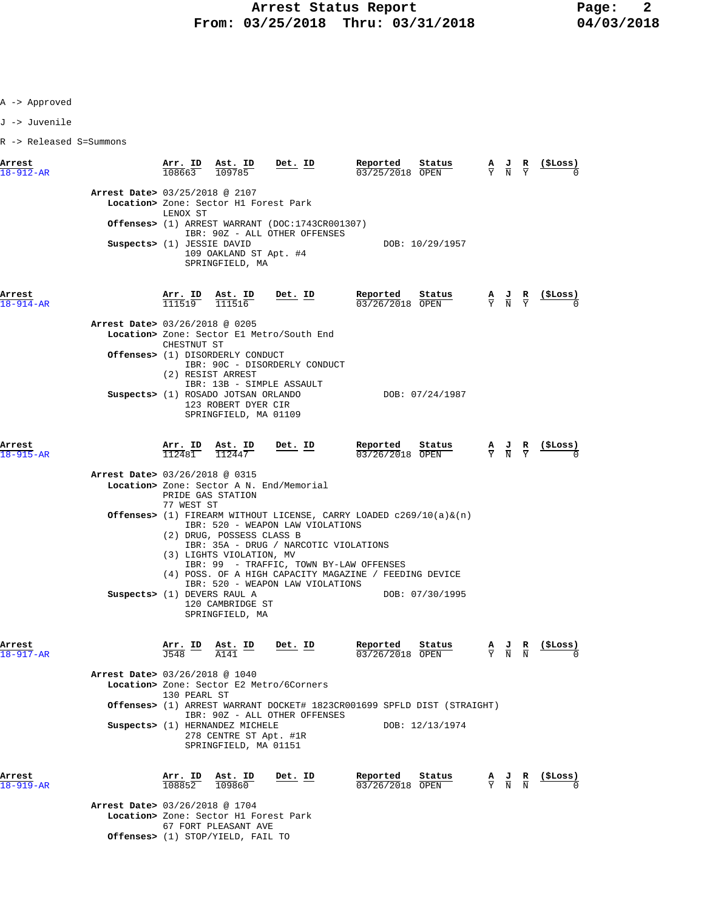J -> Juvenile

R -> Released S=Summons

| Arrest<br>$18 - 912 - AR$ |                                                              | 108663                                       | Arr. ID Ast. ID<br>109785                                                           | Det. ID                                                                                                                                                                                                                                                                                                | Reported<br>03/25/2018 OPEN | Status          | $\frac{A}{Y}$ $\frac{J}{N}$                                                                     | R | (ŞLoss)        |
|---------------------------|--------------------------------------------------------------|----------------------------------------------|-------------------------------------------------------------------------------------|--------------------------------------------------------------------------------------------------------------------------------------------------------------------------------------------------------------------------------------------------------------------------------------------------------|-----------------------------|-----------------|-------------------------------------------------------------------------------------------------|---|----------------|
|                           | Arrest Date> 03/25/2018 @ 2107<br>Suspects> (1) JESSIE DAVID | LENOX ST                                     | Location> Zone: Sector H1 Forest Park<br>109 OAKLAND ST Apt. #4<br>SPRINGFIELD, MA  | Offenses> (1) ARREST WARRANT (DOC:1743CR001307)<br>IBR: 90Z - ALL OTHER OFFENSES                                                                                                                                                                                                                       |                             | DOB: 10/29/1957 |                                                                                                 |   |                |
| Arrest<br>$18 - 914 - AR$ |                                                              |                                              | $\frac{\text{Arr.}}{111519}$ $\frac{\text{Ast.}}{111516}$                           | Det. ID                                                                                                                                                                                                                                                                                                | Reported<br>03/26/2018 OPEN | Status          | $\frac{\mathbf{A}}{\mathbf{Y}}$ $\frac{\mathbf{J}}{\mathbf{N}}$ $\frac{\mathbf{R}}{\mathbf{Y}}$ |   |                |
|                           | Arrest Date> 03/26/2018 @ 0205                               |                                              |                                                                                     | Location> Zone: Sector El Metro/South End                                                                                                                                                                                                                                                              |                             |                 |                                                                                                 |   |                |
|                           |                                                              | CHESTNUT ST                                  | <b>Offenses&gt;</b> (1) DISORDERLY CONDUCT<br>(2) RESIST ARREST                     | IBR: 90C - DISORDERLY CONDUCT<br>IBR: 13B - SIMPLE ASSAULT                                                                                                                                                                                                                                             |                             |                 |                                                                                                 |   |                |
|                           |                                                              |                                              | Suspects> (1) ROSADO JOTSAN ORLANDO<br>123 ROBERT DYER CIR<br>SPRINGFIELD, MA 01109 |                                                                                                                                                                                                                                                                                                        |                             | DOB: 07/24/1987 |                                                                                                 |   |                |
| Arrest<br>$18 - 915 - AR$ |                                                              |                                              | $\frac{\texttt{Arr.}}{112481}$ $\frac{\texttt{ Ast.}}{112447}$                      | <u>Det. ID</u>                                                                                                                                                                                                                                                                                         | Reported<br>03/26/2018 OPEN | Status          | $\frac{A}{Y}$ $\frac{J}{N}$ $\frac{R}{Y}$                                                       |   | (ŞLoss)        |
|                           | Arrest Date> 03/26/2018 @ 0315                               |                                              |                                                                                     |                                                                                                                                                                                                                                                                                                        |                             |                 |                                                                                                 |   |                |
|                           |                                                              |                                              | PRIDE GAS STATION                                                                   | Location> Zone: Sector A N. End/Memorial                                                                                                                                                                                                                                                               |                             |                 |                                                                                                 |   |                |
|                           |                                                              | 77 WEST ST                                   | (2) DRUG, POSSESS CLASS B<br>(3) LIGHTS VIOLATION, MV                               | <b>Offenses&gt;</b> (1) FIREARM WITHOUT LICENSE, CARRY LOADED $c269/10(a) \&(n)$<br>IBR: 520 - WEAPON LAW VIOLATIONS<br>IBR: 35A - DRUG / NARCOTIC VIOLATIONS<br>IBR: 99 - TRAFFIC, TOWN BY-LAW OFFENSES<br>(4) POSS. OF A HIGH CAPACITY MAGAZINE / FEEDING DEVICE<br>IBR: 520 - WEAPON LAW VIOLATIONS |                             |                 |                                                                                                 |   |                |
|                           | Suspects> (1) DEVERS RAUL A                                  |                                              | 120 CAMBRIDGE ST<br>SPRINGFIELD, MA                                                 |                                                                                                                                                                                                                                                                                                        |                             | DOB: 07/30/1995 |                                                                                                 |   |                |
| Arrest<br>$18 - 917 - AR$ |                                                              | $\frac{\text{Arr.}}{\text{TSAD}}$ ID<br>J548 | Ast. ID<br>A141                                                                     | Det. ID                                                                                                                                                                                                                                                                                                | Reported<br>03/26/2018 OPEN | Status          | $\frac{\mathbf{A}}{\mathbf{Y}}$ $\frac{\mathbf{J}}{\mathbf{N}}$ $\frac{\mathbf{R}}{\mathbf{N}}$ |   | (SLoss)        |
|                           | Arrest Date> 03/26/2018 @ 1040                               | 130 PEARL ST                                 |                                                                                     | Location> Zone: Sector E2 Metro/6Corners                                                                                                                                                                                                                                                               |                             |                 |                                                                                                 |   |                |
|                           |                                                              |                                              |                                                                                     | <b>Offenses&gt;</b> (1) ARREST WARRANT DOCKET# 1823CR001699 SPFLD DIST (STRAIGHT)                                                                                                                                                                                                                      |                             |                 |                                                                                                 |   |                |
|                           |                                                              |                                              | Suspects> (1) HERNANDEZ MICHELE<br>278 CENTRE ST Apt. #1R<br>SPRINGFIELD, MA 01151  | IBR: 90Z - ALL OTHER OFFENSES                                                                                                                                                                                                                                                                          |                             | DOB: 12/13/1974 |                                                                                                 |   |                |
| Arrest<br>$919 - AR$      |                                                              | <u>Arr. ID</u><br>108852                     | <u>Ast. ID</u><br>109860                                                            | <u>Det. ID</u>                                                                                                                                                                                                                                                                                         | Reported<br>03/26/2018 OPEN | Status          | $\frac{\mathbf{A}}{\mathbf{Y}}$ $\frac{\mathbf{J}}{\mathbf{N}}$ $\frac{\mathbf{R}}{\mathbf{N}}$ |   | <u>(ŞLoss)</u> |
|                           | Arrest Date> 03/26/2018 @ 1704                               |                                              |                                                                                     |                                                                                                                                                                                                                                                                                                        |                             |                 |                                                                                                 |   |                |

 **Location>** Zone: Sector H1 Forest Park 67 FORT PLEASANT AVE  **Offenses>** (1) STOP/YIELD, FAIL TO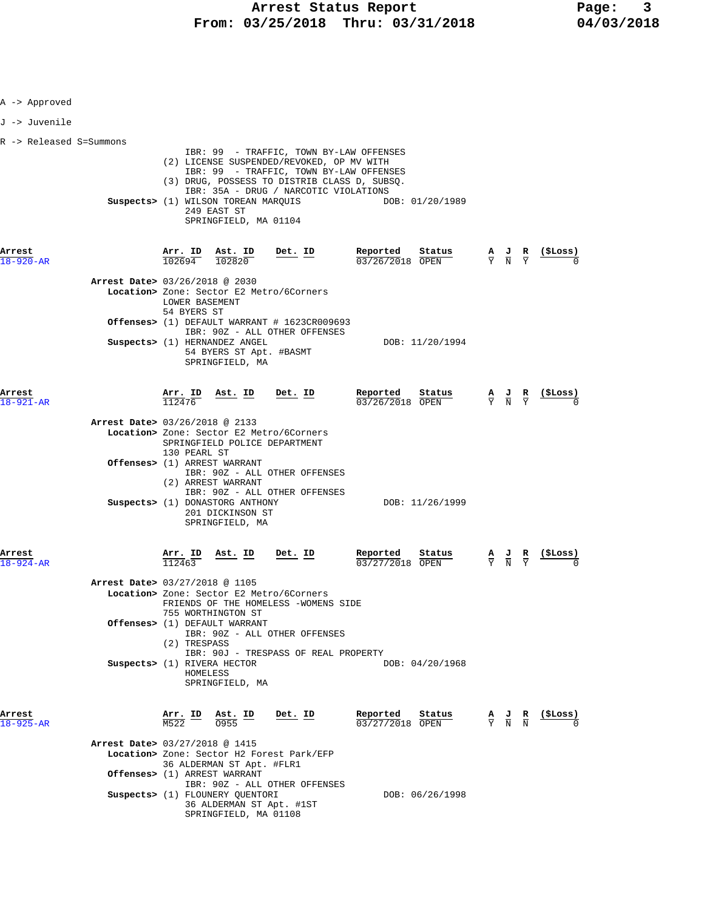| A -> Approved             |                                |                                        |                                                                                                                      |                                                                                                                                                                                                                          |                                                                       |  |                                                                                                 |                                                               |
|---------------------------|--------------------------------|----------------------------------------|----------------------------------------------------------------------------------------------------------------------|--------------------------------------------------------------------------------------------------------------------------------------------------------------------------------------------------------------------------|-----------------------------------------------------------------------|--|-------------------------------------------------------------------------------------------------|---------------------------------------------------------------|
| J -> Juvenile             |                                |                                        |                                                                                                                      |                                                                                                                                                                                                                          |                                                                       |  |                                                                                                 |                                                               |
| R -> Released S=Summons   |                                |                                        |                                                                                                                      |                                                                                                                                                                                                                          |                                                                       |  |                                                                                                 |                                                               |
|                           |                                |                                        | Suspects> (1) WILSON TOREAN MARQUIS<br>249 EAST ST<br>SPRINGFIELD, MA 01104                                          | IBR: 99 - TRAFFIC, TOWN BY-LAW OFFENSES<br>(2) LICENSE SUSPENDED/REVOKED, OP MV WITH<br>IBR: 99 - TRAFFIC, TOWN BY-LAW OFFENSES<br>(3) DRUG, POSSESS TO DISTRIB CLASS D, SUBSQ.<br>IBR: 35A - DRUG / NARCOTIC VIOLATIONS | DOB: 01/20/1989                                                       |  |                                                                                                 |                                                               |
| Arrest<br>18-920-AR       |                                |                                        |                                                                                                                      | $\frac{\texttt{Arr.}}{102694}$ $\frac{\texttt{ Ast.}}{102820}$ $\frac{\texttt{Det.}}{202820}$                                                                                                                            | <u>Reported</u><br>$\frac{\text{Status}}{\text{}}$<br>03/26/2018 OPEN |  |                                                                                                 | $\frac{A}{Y}$ $\frac{J}{N}$ $\frac{R}{Y}$ $\frac{($Loss)}{0}$ |
|                           | Arrest Date> 03/26/2018 @ 2030 | LOWER BASEMENT                         |                                                                                                                      | Location> Zone: Sector E2 Metro/6Corners                                                                                                                                                                                 |                                                                       |  |                                                                                                 |                                                               |
|                           |                                | 54 BYERS ST                            |                                                                                                                      | <b>Offenses&gt;</b> (1) DEFAULT WARRANT # 1623CR009693<br>IBR: 90Z - ALL OTHER OFFENSES                                                                                                                                  |                                                                       |  |                                                                                                 |                                                               |
|                           |                                |                                        | Suspects> (1) HERNANDEZ ANGEL<br>54 BYERS ST Apt. #BASMT<br>SPRINGFIELD, MA                                          |                                                                                                                                                                                                                          | DOB: 11/20/1994                                                       |  |                                                                                                 |                                                               |
| Arrest<br>$18 - 921 - AR$ |                                | 112476                                 | $\frac{\text{Arr. ID}}{\frac{110}{110}}$ $\frac{\text{Ast. ID}}{\text{B}}$ $\frac{\text{Det. ID}}{\text{B}}$         |                                                                                                                                                                                                                          | Reported<br>Status<br>$03/26/2018$ OPEN                               |  |                                                                                                 | $\frac{A}{Y}$ $\frac{J}{N}$ $\frac{R}{Y}$ (\$Loss)            |
|                           | Arrest Date> 03/26/2018 @ 2133 | 130 PEARL ST                           |                                                                                                                      | Location> Zone: Sector E2 Metro/6Corners<br>SPRINGFIELD POLICE DEPARTMENT                                                                                                                                                |                                                                       |  |                                                                                                 |                                                               |
|                           |                                |                                        | Offenses> (1) ARREST WARRANT<br>(2) ARREST WARRANT                                                                   | IBR: 90Z - ALL OTHER OFFENSES<br>IBR: 90Z - ALL OTHER OFFENSES                                                                                                                                                           |                                                                       |  |                                                                                                 |                                                               |
|                           |                                |                                        | Suspects> (1) DONASTORG ANTHONY<br>201 DICKINSON ST<br>SPRINGFIELD, MA                                               |                                                                                                                                                                                                                          | DOB: 11/26/1999                                                       |  |                                                                                                 |                                                               |
| Arrest<br>$18 - 924 - AR$ |                                | Arr. ID<br>112463                      | <u>Ast.</u> ID                                                                                                       | Det. ID                                                                                                                                                                                                                  | Reported<br>Status<br>03/27/2018 OPEN                                 |  | $\frac{\mathbf{A}}{\mathbf{Y}}$ $\frac{\mathbf{J}}{\mathbf{N}}$ $\frac{\mathbf{R}}{\mathbf{Y}}$ |                                                               |
|                           | Arrest Date> 03/27/2018 @ 1105 |                                        | 755 WORTHINGTON ST                                                                                                   | Location> Zone: Sector E2 Metro/6Corners<br>FRIENDS OF THE HOMELESS -WOMENS SIDE                                                                                                                                         |                                                                       |  |                                                                                                 |                                                               |
|                           |                                | (2) TRESPASS                           | Offenses> (1) DEFAULT WARRANT                                                                                        | IBR: 90Z - ALL OTHER OFFENSES<br>IBR: 90J - TRESPASS OF REAL PROPERTY                                                                                                                                                    |                                                                       |  |                                                                                                 |                                                               |
|                           |                                |                                        | Suspects> (1) RIVERA HECTOR<br>HOMELESS<br>SPRINGFIELD, MA                                                           |                                                                                                                                                                                                                          | DOB: 04/20/1968                                                       |  |                                                                                                 |                                                               |
| Arrest<br>$18 - 925 - AR$ |                                | $\frac{\texttt{Arr.}}{\text{M522}}$ ID | Ast. ID<br>0955                                                                                                      | Det. ID                                                                                                                                                                                                                  | Reported<br>Status<br>03/27/2018 OPEN                                 |  |                                                                                                 | $\frac{A}{Y}$ $\frac{J}{N}$ $\frac{R}{N}$ (\$Loss)            |
|                           | Arrest Date> 03/27/2018 @ 1415 |                                        | 36 ALDERMAN ST Apt. #FLR1                                                                                            | Location> Zone: Sector H2 Forest Park/EFP                                                                                                                                                                                |                                                                       |  |                                                                                                 |                                                               |
|                           |                                |                                        | Offenses> (1) ARREST WARRANT<br>Suspects> (1) FLOUNERY QUENTORI<br>36 ALDERMAN ST Apt. #1ST<br>SPRINGFIELD, MA 01108 | IBR: 90Z - ALL OTHER OFFENSES                                                                                                                                                                                            | DOB: 06/26/1998                                                       |  |                                                                                                 |                                                               |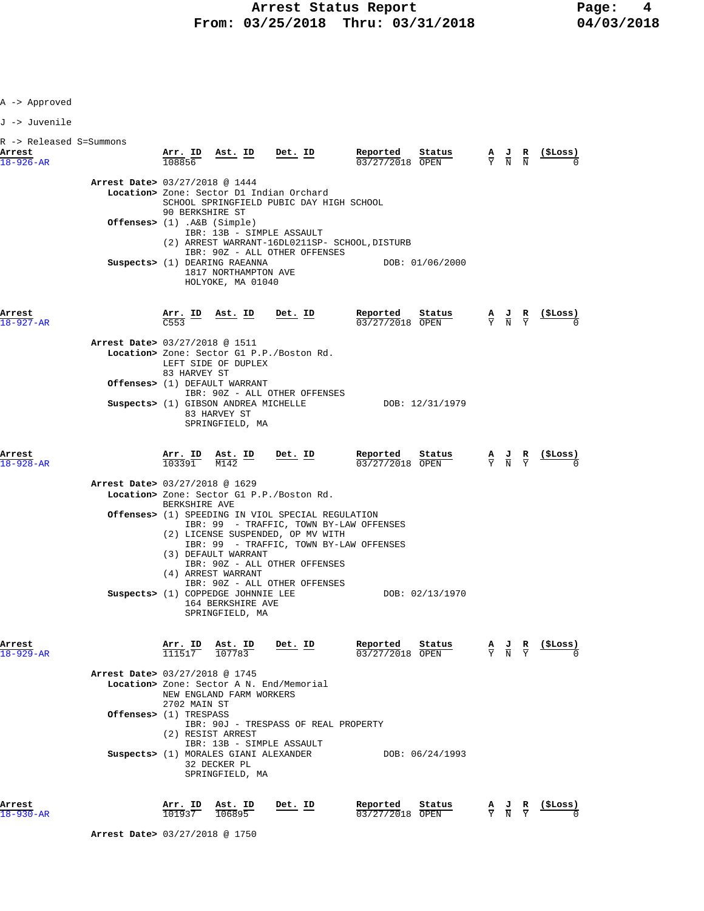J -> Juvenile

| R -> Released S=Summons<br>Arrest<br>$18 - 926 - AR$ |                                  | 108856               |                                                                            | $\frac{\text{Arr. ID}}{\frac{10000 \text{ }}{10000 \text{ }}}$ Ast. ID Det. ID                                                                                                         | <b>Reported Status A J R</b> $\frac{1}{03}/27/2018$ <b>OPEN W R N</b>                                                              |  | $\frac{1}{2}$                                                 |
|------------------------------------------------------|----------------------------------|----------------------|----------------------------------------------------------------------------|----------------------------------------------------------------------------------------------------------------------------------------------------------------------------------------|------------------------------------------------------------------------------------------------------------------------------------|--|---------------------------------------------------------------|
|                                                      | Arrest Date> 03/27/2018 @ 1444   |                      |                                                                            |                                                                                                                                                                                        |                                                                                                                                    |  |                                                               |
|                                                      |                                  | 90 BERKSHIRE ST      |                                                                            | Location> Zone: Sector D1 Indian Orchard<br>SCHOOL SPRINGFIELD PUBIC DAY HIGH SCHOOL                                                                                                   |                                                                                                                                    |  |                                                               |
|                                                      | Offenses> $(1)$ . A&B $(Simple)$ |                      |                                                                            | IBR: 13B - SIMPLE ASSAULT<br>(2) ARREST WARRANT-16DL0211SP- SCHOOL, DISTURB<br>IBR: 90Z - ALL OTHER OFFENSES                                                                           |                                                                                                                                    |  |                                                               |
|                                                      |                                  |                      | Suspects> (1) DEARING RAEANNA<br>1817 NORTHAMPTON AVE<br>HOLYOKE, MA 01040 |                                                                                                                                                                                        | DOB: 01/06/2000                                                                                                                    |  |                                                               |
| Arrest<br>$18 - 927 - AR$                            |                                  | $\overline{C553}$    |                                                                            | $\frac{\text{Arr.}}{\text{CE53}}$ ID Ast. ID Det. ID                                                                                                                                   | Reported<br>Status<br>03/27/2018 OPEN                                                                                              |  | $\frac{A}{Y}$ $\frac{J}{N}$ $\frac{R}{Y}$ $\frac{($Loss)}{0}$ |
|                                                      | Arrest Date> 03/27/2018 @ 1511   |                      |                                                                            |                                                                                                                                                                                        |                                                                                                                                    |  |                                                               |
|                                                      |                                  | 83 HARVEY ST         | LEFT SIDE OF DUPLEX                                                        | Location> Zone: Sector G1 P.P./Boston Rd.                                                                                                                                              |                                                                                                                                    |  |                                                               |
|                                                      |                                  |                      | Offenses> (1) DEFAULT WARRANT                                              |                                                                                                                                                                                        |                                                                                                                                    |  |                                                               |
|                                                      |                                  |                      | 83 HARVEY ST<br>SPRINGFIELD, MA                                            | IBR: 90Z - ALL OTHER OFFENSES                                                                                                                                                          | Suspects> (1) GIBSON ANDREA MICHELLE DOB: 12/31/1979                                                                               |  |                                                               |
| Arrest<br>$18 - 928 - AR$                            |                                  | 103391               | $\frac{\text{Arr. ID}}{103391}$ $\frac{\text{Ast. ID}}{M142}$<br>M142      | <u>Det. ID</u>                                                                                                                                                                         | $\frac{Reported}{22/27/201}$<br>$\frac{\text{Status}}{\text{OPEN}}$ $\frac{A}{Y}$ $\frac{J}{N}$ $\frac{R}{Y}$<br>$03/27/2018$ OPEN |  | (SLoss)                                                       |
|                                                      | Arrest Date> 03/27/2018 @ 1629   | BERKSHIRE AVE        |                                                                            | Location> Zone: Sector G1 P.P./Boston Rd.                                                                                                                                              |                                                                                                                                    |  |                                                               |
|                                                      |                                  |                      | (3) DEFAULT WARRANT                                                        | <b>Offenses&gt;</b> (1) SPEEDING IN VIOL SPECIAL REGULATION<br>IBR: 99 - TRAFFIC, TOWN BY-LAW OFFENSES<br>(2) LICENSE SUSPENDED, OP MV WITH<br>IBR: 99 - TRAFFIC, TOWN BY-LAW OFFENSES |                                                                                                                                    |  |                                                               |
|                                                      |                                  |                      | (4) ARREST WARRANT<br>164 BERKSHIRE AVE<br>SPRINGFIELD, MA                 | IBR: 90Z - ALL OTHER OFFENSES<br>IBR: 90Z - ALL OTHER OFFENSES<br>Suspects> (1) COPPEDGE JOHNNIE LEE                                                                                   | DOB: 02/13/1970                                                                                                                    |  |                                                               |
| Arrest<br>$18 - 929 - AR$                            |                                  | TD<br>AII.<br>111517 | ASt.<br>ΤD<br>107783                                                       | <u>Det. ID</u>                                                                                                                                                                         | keportea<br>Status<br>03/27/2018 OPEN                                                                                              |  | ( <b>SLoss</b> )                                              |
|                                                      | Arrest Date> 03/27/2018 @ 1745   |                      |                                                                            |                                                                                                                                                                                        |                                                                                                                                    |  |                                                               |
|                                                      |                                  | 2702 MAIN ST         | NEW ENGLAND FARM WORKERS                                                   | <b>Location&gt;</b> Zone: Sector A N. End/Memorial                                                                                                                                     |                                                                                                                                    |  |                                                               |
|                                                      | <b>Offenses&gt;</b> (1) TRESPASS |                      | (2) RESIST ARREST                                                          | IBR: 90J - TRESPASS OF REAL PROPERTY                                                                                                                                                   |                                                                                                                                    |  |                                                               |
|                                                      |                                  |                      | Suspects> (1) MORALES GIANI ALEXANDER<br>32 DECKER PL<br>SPRINGFIELD, MA   | IBR: 13B - SIMPLE ASSAULT                                                                                                                                                              | DOB: 06/24/1993                                                                                                                    |  |                                                               |
| Arrest                                               |                                  |                      | Arr. ID Ast. ID                                                            | Det. ID                                                                                                                                                                                | Reported<br>Status                                                                                                                 |  | A J R (\$Loss)                                                |

18-930-AR 101937 106895 03/27/2018 OPEN Y N Y 0

 **Arrest Date>** 03/27/2018 @ 1750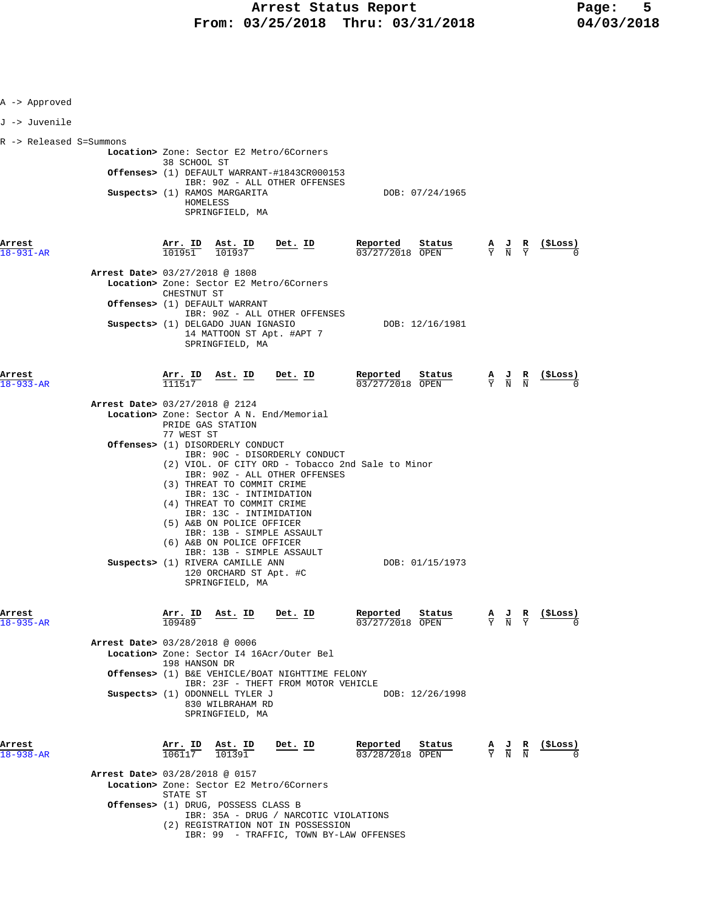| A -> Approved             |                                          |                                |                                                                        |                                                                                        |                                                                                                                        |                                                                                                 |                               |                                                    |
|---------------------------|------------------------------------------|--------------------------------|------------------------------------------------------------------------|----------------------------------------------------------------------------------------|------------------------------------------------------------------------------------------------------------------------|-------------------------------------------------------------------------------------------------|-------------------------------|----------------------------------------------------|
| J -> Juvenile             |                                          |                                |                                                                        |                                                                                        |                                                                                                                        |                                                                                                 |                               |                                                    |
| R -> Released S=Summons   |                                          |                                |                                                                        |                                                                                        |                                                                                                                        |                                                                                                 |                               |                                                    |
|                           |                                          | 38 SCHOOL ST                   |                                                                        | Location> Zone: Sector E2 Metro/6Corners                                               |                                                                                                                        |                                                                                                 |                               |                                                    |
|                           |                                          |                                |                                                                        | Offenses> (1) DEFAULT WARRANT-#1843CR000153                                            |                                                                                                                        |                                                                                                 |                               |                                                    |
|                           |                                          |                                | Suspects> (1) RAMOS MARGARITA                                          | IBR: 90Z - ALL OTHER OFFENSES                                                          | DOB: 07/24/1965                                                                                                        |                                                                                                 |                               |                                                    |
|                           |                                          | HOMELESS                       | SPRINGFIELD, MA                                                        |                                                                                        |                                                                                                                        |                                                                                                 |                               |                                                    |
|                           |                                          |                                |                                                                        |                                                                                        |                                                                                                                        |                                                                                                 |                               |                                                    |
| Arrest                    |                                          |                                | $\frac{\texttt{Arr.}}{101951}$ $\frac{\texttt{ Ast.}}{101937}$ Det. ID |                                                                                        | Reported                                                                                                               |                                                                                                 |                               |                                                    |
| 18-931-AR                 |                                          |                                |                                                                        |                                                                                        | <b>Reported</b> Status $\frac{A}{V}$ J R (\$Loss) $\frac{0.3}{27/27/2018}$ OPEN $\frac{A}{Y}$ $\frac{J}{N}$ R (\$Loss) |                                                                                                 |                               |                                                    |
|                           | Arrest Date> 03/27/2018 @ 1808           |                                |                                                                        |                                                                                        |                                                                                                                        |                                                                                                 |                               |                                                    |
|                           |                                          | CHESTNUT ST                    |                                                                        | Location> Zone: Sector E2 Metro/6Corners                                               |                                                                                                                        |                                                                                                 |                               |                                                    |
|                           |                                          |                                | Offenses> (1) DEFAULT WARRANT                                          | IBR: 90Z - ALL OTHER OFFENSES                                                          |                                                                                                                        |                                                                                                 |                               |                                                    |
|                           |                                          |                                | Suspects> (1) DELGADO JUAN IGNASIO                                     |                                                                                        | DOB: 12/16/1981                                                                                                        |                                                                                                 |                               |                                                    |
|                           |                                          |                                | SPRINGFIELD, MA                                                        | 14 MATTOON ST Apt. #APT 7                                                              |                                                                                                                        |                                                                                                 |                               |                                                    |
|                           |                                          |                                |                                                                        |                                                                                        |                                                                                                                        |                                                                                                 |                               |                                                    |
| Arrest                    |                                          | $\frac{\texttt{Arr.}}{111517}$ |                                                                        | Ast. ID Det. ID                                                                        | Reported<br>Status                                                                                                     |                                                                                                 |                               | $\frac{A}{Y}$ $\frac{J}{N}$ $\frac{R}{N}$ (\$Loss) |
| $18 - 933 - AR$           |                                          |                                |                                                                        |                                                                                        | $03/27/2018$ OPEN                                                                                                      |                                                                                                 |                               |                                                    |
|                           | Arrest Date> 03/27/2018 @ 2124           |                                |                                                                        |                                                                                        |                                                                                                                        |                                                                                                 |                               |                                                    |
|                           |                                          |                                | PRIDE GAS STATION                                                      | Location> Zone: Sector A N. End/Memorial                                               |                                                                                                                        |                                                                                                 |                               |                                                    |
|                           |                                          | 77 WEST ST                     |                                                                        |                                                                                        |                                                                                                                        |                                                                                                 |                               |                                                    |
|                           |                                          |                                | Offenses> (1) DISORDERLY CONDUCT                                       | IBR: 90C - DISORDERLY CONDUCT                                                          |                                                                                                                        |                                                                                                 |                               |                                                    |
|                           |                                          |                                |                                                                        | IBR: 90Z - ALL OTHER OFFENSES                                                          | (2) VIOL. OF CITY ORD - Tobacco 2nd Sale to Minor                                                                      |                                                                                                 |                               |                                                    |
|                           |                                          |                                | (3) THREAT TO COMMIT CRIME                                             |                                                                                        |                                                                                                                        |                                                                                                 |                               |                                                    |
|                           |                                          |                                | IBR: 13C - INTIMIDATION<br>(4) THREAT TO COMMIT CRIME                  |                                                                                        |                                                                                                                        |                                                                                                 |                               |                                                    |
|                           |                                          |                                | IBR: 13C - INTIMIDATION<br>(5) A&B ON POLICE OFFICER                   |                                                                                        |                                                                                                                        |                                                                                                 |                               |                                                    |
|                           |                                          |                                |                                                                        | IBR: 13B - SIMPLE ASSAULT                                                              |                                                                                                                        |                                                                                                 |                               |                                                    |
|                           |                                          |                                | (6) A&B ON POLICE OFFICER                                              | IBR: 13B - SIMPLE ASSAULT                                                              |                                                                                                                        |                                                                                                 |                               |                                                    |
|                           |                                          |                                | Suspects> (1) RIVERA CAMILLE ANN<br>120 ORCHARD ST Apt. #C             |                                                                                        | DOB: 01/15/1973                                                                                                        |                                                                                                 |                               |                                                    |
|                           |                                          |                                | SPRINGFIELD, MA                                                        |                                                                                        |                                                                                                                        |                                                                                                 |                               |                                                    |
|                           |                                          |                                |                                                                        |                                                                                        |                                                                                                                        |                                                                                                 |                               |                                                    |
| Arrest<br>$18 - 935 - AR$ |                                          | Arr. ID                        | Ast. ID                                                                | Det. ID                                                                                | Reported<br>Status<br>03/27/2018 OPEN                                                                                  | $\frac{A}{Y}$ $\frac{J}{N}$                                                                     | $rac{\mathbf{R}}{\mathbf{Y}}$ | (ŞLoss)                                            |
|                           |                                          |                                |                                                                        |                                                                                        |                                                                                                                        |                                                                                                 |                               |                                                    |
|                           | Arrest Date> 03/28/2018 @ 0006           |                                |                                                                        | Location> Zone: Sector I4 16Acr/Outer Bel                                              |                                                                                                                        |                                                                                                 |                               |                                                    |
|                           |                                          | 198 HANSON DR                  |                                                                        |                                                                                        |                                                                                                                        |                                                                                                 |                               |                                                    |
|                           |                                          |                                |                                                                        | Offenses> (1) B&E VEHICLE/BOAT NIGHTTIME FELONY<br>IBR: 23F - THEFT FROM MOTOR VEHICLE |                                                                                                                        |                                                                                                 |                               |                                                    |
|                           |                                          |                                | Suspects> (1) ODONNELL TYLER J<br>830 WILBRAHAM RD                     |                                                                                        | DOB: 12/26/1998                                                                                                        |                                                                                                 |                               |                                                    |
|                           |                                          |                                | SPRINGFIELD, MA                                                        |                                                                                        |                                                                                                                        |                                                                                                 |                               |                                                    |
|                           |                                          |                                |                                                                        |                                                                                        |                                                                                                                        |                                                                                                 |                               |                                                    |
| Arrest<br>18-938-AR       |                                          | Arr. ID<br>106117              | Ast. ID<br>101391                                                      | <u>Det. ID</u>                                                                         | Reported<br>Status<br>03/28/2018 OPEN                                                                                  | $\frac{\mathbf{A}}{\mathbf{Y}}$ $\frac{\mathbf{J}}{\mathbf{N}}$ $\frac{\mathbf{R}}{\mathbf{N}}$ |                               | (\$Loss)                                           |
|                           |                                          |                                |                                                                        |                                                                                        |                                                                                                                        |                                                                                                 |                               |                                                    |
|                           | <b>Arrest Date&gt; 03/28/2018 @ 0157</b> |                                |                                                                        | Location> Zone: Sector E2 Metro/6Corners                                               |                                                                                                                        |                                                                                                 |                               |                                                    |
|                           |                                          | STATE ST                       |                                                                        |                                                                                        |                                                                                                                        |                                                                                                 |                               |                                                    |
|                           |                                          |                                | Offenses> (1) DRUG, POSSESS CLASS B                                    | IBR: 35A - DRUG / NARCOTIC VIOLATIONS                                                  |                                                                                                                        |                                                                                                 |                               |                                                    |
|                           |                                          |                                |                                                                        | (2) REGISTRATION NOT IN POSSESSION                                                     |                                                                                                                        |                                                                                                 |                               |                                                    |
|                           |                                          |                                |                                                                        | IBR: 99 - TRAFFIC, TOWN BY-LAW OFFENSES                                                |                                                                                                                        |                                                                                                 |                               |                                                    |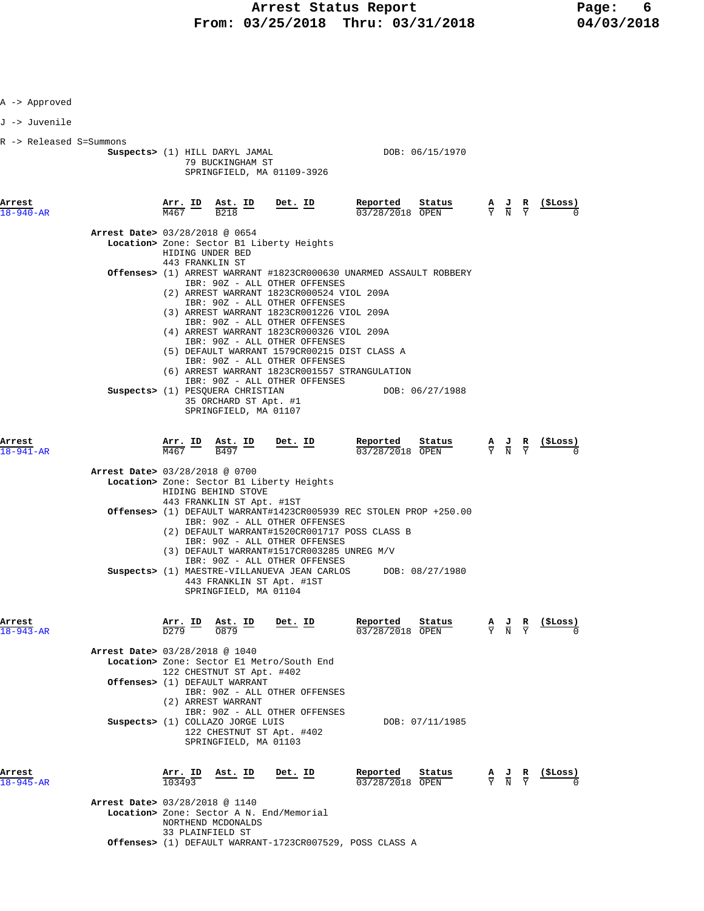| A -> Approved             |                                          |                 |                                                                                    |                                                                                                                                                                 |                                                                    |                 |                                 |                                                                                                 |                               |                |
|---------------------------|------------------------------------------|-----------------|------------------------------------------------------------------------------------|-----------------------------------------------------------------------------------------------------------------------------------------------------------------|--------------------------------------------------------------------|-----------------|---------------------------------|-------------------------------------------------------------------------------------------------|-------------------------------|----------------|
| J -> Juvenile             |                                          |                 |                                                                                    |                                                                                                                                                                 |                                                                    |                 |                                 |                                                                                                 |                               |                |
| R -> Released S=Summons   |                                          |                 | Suspects> (1) HILL DARYL JAMAL<br>79 BUCKINGHAM ST                                 | SPRINGFIELD, MA 01109-3926                                                                                                                                      | DOB: 06/15/1970                                                    |                 |                                 |                                                                                                 |                               |                |
| Arrest<br>18-940-AR       |                                          | M467            | <u>Arr. ID Ast. ID</u><br>B <sub>218</sub>                                         | <u>Det. ID</u>                                                                                                                                                  | Reported<br>03/28/2018 OPEN                                        | Status          |                                 | $\frac{\mathbf{A}}{\mathbf{Y}}$ $\frac{\mathbf{J}}{\mathbf{N}}$                                 | $rac{\mathbf{R}}{\mathrm{Y}}$ | <u>(ŞLOSS)</u> |
|                           | Arrest Date> 03/28/2018 @ 0654           |                 | HIDING UNDER BED                                                                   | Location> Zone: Sector B1 Liberty Heights                                                                                                                       |                                                                    |                 |                                 |                                                                                                 |                               |                |
|                           |                                          | 443 FRANKLIN ST |                                                                                    | IBR: 90Z - ALL OTHER OFFENSES<br>(2) ARREST WARRANT 1823CR000524 VIOL 209A                                                                                      | Offenses> (1) ARREST WARRANT #1823CR000630 UNARMED ASSAULT ROBBERY |                 |                                 |                                                                                                 |                               |                |
|                           |                                          |                 |                                                                                    | IBR: 90Z - ALL OTHER OFFENSES<br>(3) ARREST WARRANT 1823CR001226 VIOL 209A<br>IBR: 90Z - ALL OTHER OFFENSES<br>(4) ARREST WARRANT 1823CR000326 VIOL 209A        |                                                                    |                 |                                 |                                                                                                 |                               |                |
|                           |                                          |                 |                                                                                    | IBR: 90Z - ALL OTHER OFFENSES<br>(5) DEFAULT WARRANT 1579CR00215 DIST CLASS A<br>IBR: 90Z - ALL OTHER OFFENSES<br>(6) ARREST WARRANT 1823CR001557 STRANGULATION |                                                                    |                 |                                 |                                                                                                 |                               |                |
|                           |                                          |                 | Suspects> (1) PESOUERA CHRISTIAN<br>35 ORCHARD ST Apt. #1<br>SPRINGFIELD, MA 01107 | IBR: 90Z - ALL OTHER OFFENSES                                                                                                                                   |                                                                    | DOB: 06/27/1988 |                                 |                                                                                                 |                               |                |
| Arrest<br>18-941-AR       |                                          | Arr. ID<br>M467 | Ast. ID<br>B497                                                                    | $Det$ . ID                                                                                                                                                      | Reported<br>03/28/2018 OPEN                                        | Status          |                                 | $\frac{\mathbf{A}}{\mathbf{Y}}$ $\frac{\mathbf{J}}{\mathbf{N}}$ $\frac{\mathbf{R}}{\mathbf{Y}}$ |                               | (ŞLoss)        |
|                           | Arrest Date> 03/28/2018 @ 0700           |                 | HIDING BEHIND STOVE                                                                | Location> Zone: Sector B1 Liberty Heights                                                                                                                       |                                                                    |                 |                                 |                                                                                                 |                               |                |
|                           |                                          |                 | 443 FRANKLIN ST Apt. #1ST                                                          | IBR: 90Z - ALL OTHER OFFENSES<br>(2) DEFAULT WARRANT#1520CR001717 POSS CLASS B<br>IBR: 90Z - ALL OTHER OFFENSES                                                 | Offenses> (1) DEFAULT WARRANT#1423CR005939 REC STOLEN PROP +250.00 |                 |                                 |                                                                                                 |                               |                |
|                           |                                          |                 | SPRINGFIELD, MA 01104                                                              | (3) DEFAULT WARRANT#1517CR003285 UNREG M/V<br>IBR: 90Z - ALL OTHER OFFENSES<br>443 FRANKLIN ST Apt. #1ST                                                        | Suspects> (1) MAESTRE-VILLANUEVA JEAN CARLOS DOB: 08/27/1980       |                 |                                 |                                                                                                 |                               |                |
| Arrest<br>$18 - 943 - AR$ |                                          | Arr. ID         | Ast. ID<br>0879                                                                    | Det. ID                                                                                                                                                         | Reported<br>03/28/2018 OPEN                                        | Status          | $\frac{\mathbf{A}}{\mathbf{Y}}$ | $\frac{J}{N}$                                                                                   | $\frac{R}{Y}$                 | (ŞLoss)        |
|                           | <b>Arrest Date&gt; 03/28/2018 @ 1040</b> |                 |                                                                                    | Location> Zone: Sector El Metro/South End                                                                                                                       |                                                                    |                 |                                 |                                                                                                 |                               |                |
|                           |                                          |                 | 122 CHESTNUT ST Apt. #402<br>Offenses> (1) DEFAULT WARRANT                         |                                                                                                                                                                 |                                                                    |                 |                                 |                                                                                                 |                               |                |
|                           |                                          |                 | (2) ARREST WARRANT                                                                 | IBR: 90Z - ALL OTHER OFFENSES<br>IBR: 90Z - ALL OTHER OFFENSES                                                                                                  |                                                                    |                 |                                 |                                                                                                 |                               |                |
|                           |                                          |                 | Suspects> (1) COLLAZO JORGE LUIS<br>SPRINGFIELD, MA 01103                          | 122 CHESTNUT ST Apt. #402                                                                                                                                       |                                                                    | DOB: 07/11/1985 |                                 |                                                                                                 |                               |                |
| Arrest<br>18-945-AR       |                                          | <u>Arr. ID</u>  | Ast. ID                                                                            | Det. ID                                                                                                                                                         | Reported<br>03/28/2018 OPEN                                        | Status          |                                 | $\frac{\mathbf{A}}{\mathbf{Y}}$ $\frac{\mathbf{J}}{\mathbf{N}}$                                 |                               | (ŞLoss)        |
|                           | Arrest Date> 03/28/2018 @ 1140           |                 | NORTHEND MCDONALDS<br>33 PLAINFIELD ST                                             | <b>Location&gt;</b> Zone: Sector A N. End/Memorial                                                                                                              |                                                                    |                 |                                 |                                                                                                 |                               |                |
|                           |                                          |                 |                                                                                    |                                                                                                                                                                 | Offenses> (1) DEFAULT WARRANT-1723CR007529, POSS CLASS A           |                 |                                 |                                                                                                 |                               |                |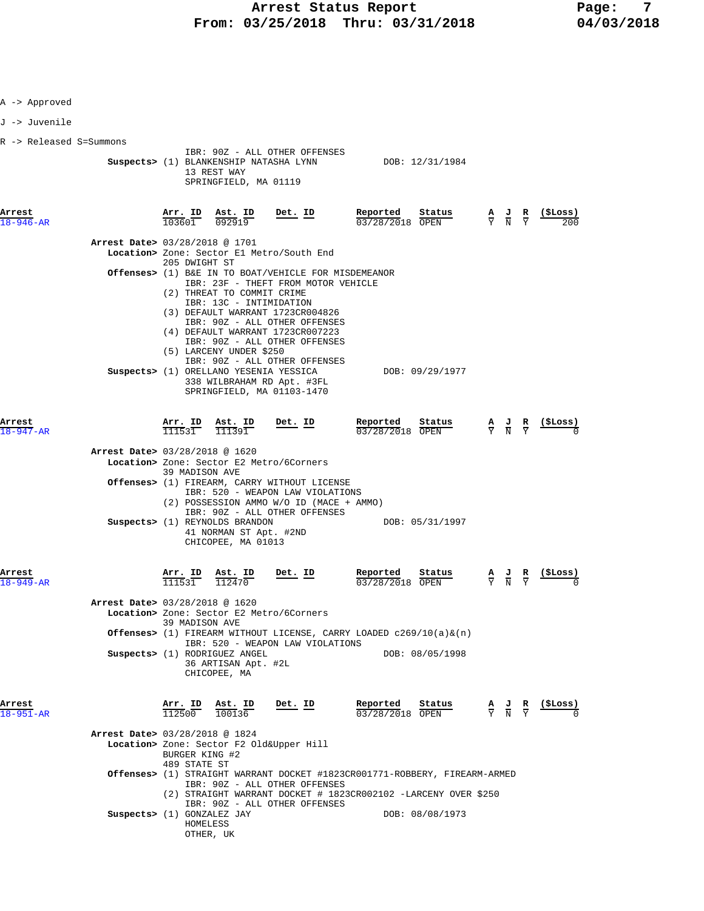| A -> Approved             |                                |                                |                                                                                  |                                                                                                                                                                                                                                       |                                                                                                                                              |                                                                                                 |                               |                                                                 |
|---------------------------|--------------------------------|--------------------------------|----------------------------------------------------------------------------------|---------------------------------------------------------------------------------------------------------------------------------------------------------------------------------------------------------------------------------------|----------------------------------------------------------------------------------------------------------------------------------------------|-------------------------------------------------------------------------------------------------|-------------------------------|-----------------------------------------------------------------|
| J -> Juvenile             |                                |                                |                                                                                  |                                                                                                                                                                                                                                       |                                                                                                                                              |                                                                                                 |                               |                                                                 |
| R -> Released S=Summons   |                                |                                | Suspects> (1) BLANKENSHIP NATASHA LYNN<br>13 REST WAY<br>SPRINGFIELD, MA 01119   | IBR: 90Z - ALL OTHER OFFENSES                                                                                                                                                                                                         | DOB: 12/31/1984                                                                                                                              |                                                                                                 |                               |                                                                 |
| Arrest<br>$18 - 946 - AR$ |                                | Arr. ID<br>103601              | Ast. ID<br>092919                                                                | $Det$ . ID                                                                                                                                                                                                                            | Reported<br>Status<br>03/28/2018 OPEN                                                                                                        |                                                                                                 |                               | $\frac{A}{Y}$ $\frac{J}{N}$ $\frac{R}{Y}$ $\frac{($Loss)}{200}$ |
|                           | Arrest Date> 03/28/2018 @ 1701 | 205 DWIGHT ST                  |                                                                                  | Location> Zone: Sector El Metro/South End                                                                                                                                                                                             |                                                                                                                                              |                                                                                                 |                               |                                                                 |
|                           |                                |                                | (2) THREAT TO COMMIT CRIME<br>IBR: 13C - INTIMIDATION<br>(5) LARCENY UNDER \$250 | Offenses> (1) B&E IN TO BOAT/VEHICLE FOR MISDEMEANOR<br>IBR: 23F - THEFT FROM MOTOR VEHICLE<br>(3) DEFAULT WARRANT 1723CR004826<br>IBR: 90Z - ALL OTHER OFFENSES<br>(4) DEFAULT WARRANT 1723CR007223<br>IBR: 90Z - ALL OTHER OFFENSES |                                                                                                                                              |                                                                                                 |                               |                                                                 |
|                           |                                |                                | Suspects> (1) ORELLANO YESENIA YESSICA                                           | IBR: 90Z - ALL OTHER OFFENSES<br>338 WILBRAHAM RD Apt. #3FL<br>SPRINGFIELD, MA 01103-1470                                                                                                                                             | DOB: 09/29/1977                                                                                                                              |                                                                                                 |                               |                                                                 |
| Arrest<br>$947 - AR$      |                                |                                | $\frac{\texttt{Arr.}}{111531}$ $\frac{\texttt{Ast.}}{111391}$                    | Det. ID                                                                                                                                                                                                                               | Reported<br>Status<br>03/28/2018 OPEN                                                                                                        | $\frac{\mathbf{A}}{\mathbf{Y}}$ $\frac{\mathbf{J}}{\mathbf{N}}$ $\frac{\mathbf{R}}{\mathbf{Y}}$ |                               |                                                                 |
|                           | Arrest Date> 03/28/2018 @ 1620 | 39 MADISON AVE                 | Suspects> (1) REYNOLDS BRANDON<br>41 NORMAN ST Apt. #2ND<br>CHICOPEE, MA 01013   | Location> Zone: Sector E2 Metro/6Corners<br>Offenses> (1) FIREARM, CARRY WITHOUT LICENSE<br>IBR: 520 - WEAPON LAW VIOLATIONS<br>(2) POSSESSION AMMO W/O ID (MACE + AMMO)<br>IBR: 90Z - ALL OTHER OFFENSES                             | DOB: 05/31/1997                                                                                                                              |                                                                                                 |                               |                                                                 |
| Arrest<br>$18 - 949 - AR$ | Arrest Date> 03/28/2018 @ 1620 | $\frac{\text{Arr.}}{111531}$   | $\frac{\text{Ast.}}{112470}$                                                     | <u>Det. ID</u><br>Location> Zone: Sector E2 Metro/6Corners                                                                                                                                                                            | Reported<br>Status<br>03/28/2018 OPEN                                                                                                        | $\frac{\mathbf{A}}{\mathbf{Y}}$ $\frac{\mathbf{J}}{\mathbf{N}}$                                 | $rac{\mathbf{R}}{\mathbf{Y}}$ | <u>(SLoss)</u>                                                  |
|                           |                                | 39 MADISON AVE                 | Suspects> (1) RODRIGUEZ ANGEL<br>36 ARTISAN Apt. #2L<br>CHICOPEE, MA             | IBR: 520 - WEAPON LAW VIOLATIONS                                                                                                                                                                                                      | <b>Offenses&gt;</b> (1) FIREARM WITHOUT LICENSE, CARRY LOADED $c269/10(a) \&(n)$<br>DOB: 08/05/1998                                          |                                                                                                 |                               |                                                                 |
| Arrest<br>18-951-AR       |                                | $\frac{\texttt{Arr.}}{112500}$ | $\frac{\texttt{Ast. ID}}{100136}$                                                | Det. ID                                                                                                                                                                                                                               | Reported<br>Status<br>03/28/2018 OPEN                                                                                                        | $\frac{A}{Y}$ $\frac{J}{N}$ $\frac{R}{Y}$                                                       |                               | <u>( SLoss )</u>                                                |
|                           | Arrest Date> 03/28/2018 @ 1824 | BURGER KING #2                 |                                                                                  | Location> Zone: Sector F2 Old&Upper Hill                                                                                                                                                                                              |                                                                                                                                              |                                                                                                 |                               |                                                                 |
|                           |                                | 489 STATE ST                   |                                                                                  | IBR: 90Z - ALL OTHER OFFENSES                                                                                                                                                                                                         | Offenses> (1) STRAIGHT WARRANT DOCKET #1823CR001771-ROBBERY, FIREARM-ARMED<br>(2) STRAIGHT WARRANT DOCKET # 1823CR002102 -LARCENY OVER \$250 |                                                                                                 |                               |                                                                 |
|                           | Suspects> (1) GONZALEZ JAY     | HOMELESS                       | OTHER, UK                                                                        | IBR: 90Z - ALL OTHER OFFENSES                                                                                                                                                                                                         | DOB: 08/08/1973                                                                                                                              |                                                                                                 |                               |                                                                 |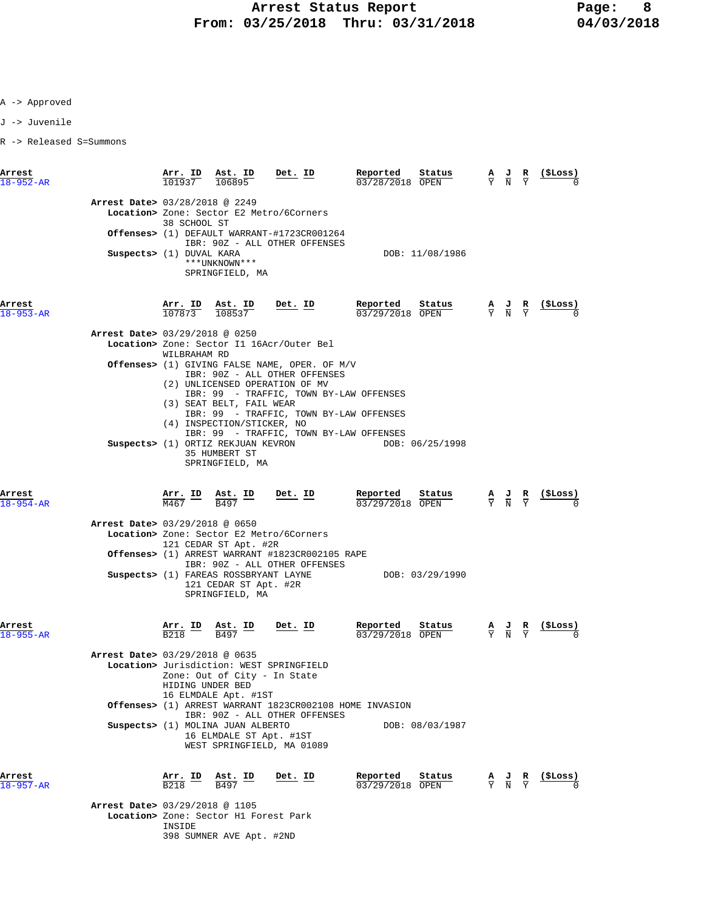J -> Juvenile

R -> Released S=Summons

| Arrest<br>$18 - 952 - AR$      | Arr. ID<br>101937                        | Ast. ID<br>106895                                                                 | Det. ID                                                                                                                       | Reported<br>Status<br>03/28/2018 OPEN | $\frac{A}{Y}$ $\frac{J}{N}$                                                                     | R<br>$\overline{\mathsf{v}}$  | (ŞLoss)                                                       |
|--------------------------------|------------------------------------------|-----------------------------------------------------------------------------------|-------------------------------------------------------------------------------------------------------------------------------|---------------------------------------|-------------------------------------------------------------------------------------------------|-------------------------------|---------------------------------------------------------------|
| Arrest Date> 03/28/2018 @ 2249 | 38 SCHOOL ST                             |                                                                                   | Location> Zone: Sector E2 Metro/6Corners                                                                                      |                                       |                                                                                                 |                               |                                                               |
|                                |                                          |                                                                                   | Offenses> (1) DEFAULT WARRANT-#1723CR001264<br>IBR: 90Z - ALL OTHER OFFENSES                                                  |                                       |                                                                                                 |                               |                                                               |
|                                | Suspects> (1) DUVAL KARA                 | ***UNKNOWN***<br>SPRINGFIELD, MA                                                  |                                                                                                                               | DOB: 11/08/1986                       |                                                                                                 |                               |                                                               |
| Arrest<br>$18 - 953 - AR$      | Arr. ID<br>107873                        | Ast. ID<br>108537                                                                 | <u>Det. ID</u>                                                                                                                | Reported<br>Status<br>03/29/2018 OPEN | $\frac{\mathbf{A}}{\mathbf{Y}}$ $\frac{\mathbf{J}}{\mathbf{N}}$ $\frac{\mathbf{R}}{\mathbf{Y}}$ |                               | (ŞLoss)                                                       |
| Arrest Date> 03/29/2018 @ 0250 |                                          |                                                                                   |                                                                                                                               |                                       |                                                                                                 |                               |                                                               |
|                                | WILBRAHAM RD                             |                                                                                   | Location> Zone: Sector I1 16Acr/Outer Bel                                                                                     |                                       |                                                                                                 |                               |                                                               |
|                                |                                          |                                                                                   | Offenses> (1) GIVING FALSE NAME, OPER. OF M/V<br>IBR: 90Z - ALL OTHER OFFENSES<br>(2) UNLICENSED OPERATION OF MV              |                                       |                                                                                                 |                               |                                                               |
|                                |                                          | (3) SEAT BELT, FAIL WEAR<br>(4) INSPECTION/STICKER, NO                            | IBR: 99 - TRAFFIC, TOWN BY-LAW OFFENSES<br>IBR: 99 - TRAFFIC, TOWN BY-LAW OFFENSES<br>IBR: 99 - TRAFFIC, TOWN BY-LAW OFFENSES |                                       |                                                                                                 |                               |                                                               |
|                                |                                          | Suspects> (1) ORTIZ REKJUAN KEVRON<br>35 HUMBERT ST<br>SPRINGFIELD, MA            |                                                                                                                               | DOB: 06/25/1998                       |                                                                                                 |                               |                                                               |
| Arrest<br>$18 - 954 - AR$      | $\frac{\texttt{Arr.}}{\text{M467}}$ ID   | $\underbrace{\text{Ast.}}$ ID<br>B497                                             | <u>Det. ID</u>                                                                                                                | Reported<br>Status<br>03/29/2018 OPEN | $\frac{A}{Y}$ $\frac{J}{N}$                                                                     | $rac{\mathbf{R}}{\mathbf{Y}}$ | <u>(SLoss)</u>                                                |
| Arrest Date> 03/29/2018 @ 0650 |                                          |                                                                                   |                                                                                                                               |                                       |                                                                                                 |                               |                                                               |
|                                |                                          |                                                                                   | Location> Zone: Sector E2 Metro/6Corners                                                                                      |                                       |                                                                                                 |                               |                                                               |
|                                |                                          | 121 CEDAR ST Apt. #2R                                                             | <b>Offenses&gt;</b> (1) ARREST WARRANT #1823CR002105 RAPE                                                                     |                                       |                                                                                                 |                               |                                                               |
|                                |                                          | Suspects> (1) FAREAS ROSSBRYANT LAYNE<br>121 CEDAR ST Apt. #2R<br>SPRINGFIELD, MA | IBR: 90Z - ALL OTHER OFFENSES                                                                                                 | DOB: 03/29/1990                       |                                                                                                 |                               |                                                               |
| Arrest<br>$18 - 955 - AR$      | <u>Arr. ID</u><br><b>B218</b>            | <u>Ast. ID</u><br>B497                                                            | <u>Det. ID</u>                                                                                                                | Reported<br>Status<br>03/29/2018 OPEN | $\frac{\mathbf{A}}{\mathbf{Y}}$ $\frac{\mathbf{J}}{\mathbf{N}}$ $\frac{\mathbf{R}}{\mathbf{Y}}$ |                               |                                                               |
| Arrest Date> 03/29/2018 @ 0635 | HIDING UNDER BED                         | Zone: Out of City - In State<br>16 ELMDALE Apt. #1ST                              | Location> Jurisdiction: WEST SPRINGFIELD                                                                                      |                                       |                                                                                                 |                               |                                                               |
|                                |                                          |                                                                                   | Offenses> (1) ARREST WARRANT 1823CR002108 HOME INVASION<br>IBR: 90Z - ALL OTHER OFFENSES                                      |                                       |                                                                                                 |                               |                                                               |
|                                |                                          | Suspects> (1) MOLINA JUAN ALBERTO<br>16 ELMDALE ST Apt. #1ST                      | WEST SPRINGFIELD, MA 01089                                                                                                    | DOB: 08/03/1987                       |                                                                                                 |                               |                                                               |
| Arrest<br>18-957-AR            | $\frac{\texttt{Arr.}}{\texttt{B218}}$ ID | $\frac{\texttt{Ast.}}{\texttt{B497}}$                                             | <u>Det. ID</u>                                                                                                                | Reported<br>Status<br>03/29/2018 OPEN |                                                                                                 |                               | $\frac{A}{Y}$ $\frac{J}{N}$ $\frac{R}{Y}$ $\frac{($Loss)}{0}$ |
| Arrest Date> 03/29/2018 @ 1105 |                                          |                                                                                   |                                                                                                                               |                                       |                                                                                                 |                               |                                                               |
|                                | INSIDE                                   | Location> Zone: Sector H1 Forest Park<br>398 SUMNER AVE Apt. #2ND                 |                                                                                                                               |                                       |                                                                                                 |                               |                                                               |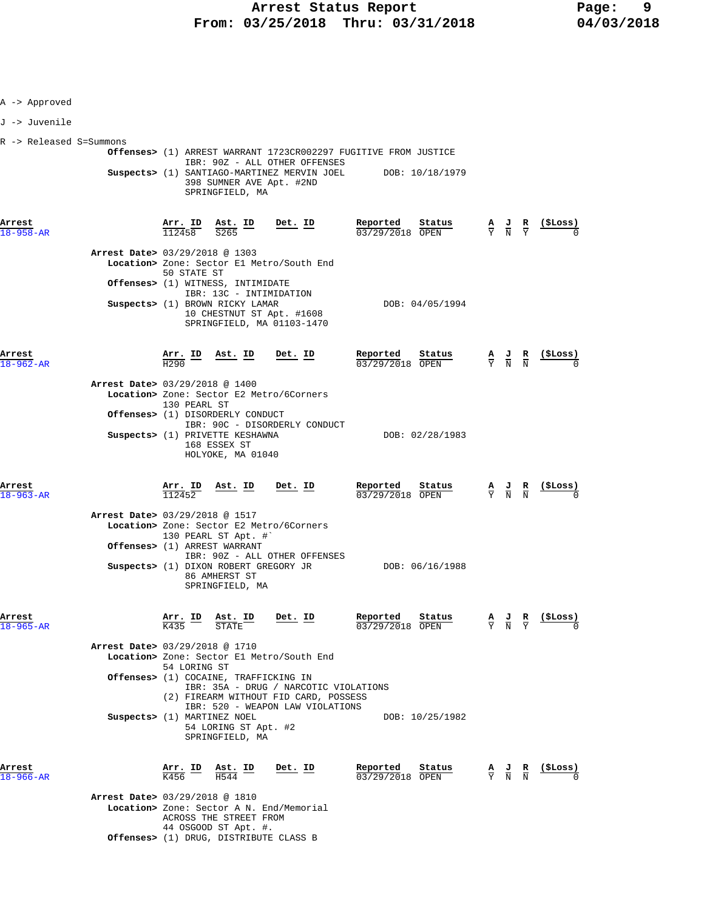| A -> Approved             |                                                                                                                                                                                                                                                                    |                                                 |                                                                                                 |                                                                                                 |                 |
|---------------------------|--------------------------------------------------------------------------------------------------------------------------------------------------------------------------------------------------------------------------------------------------------------------|-------------------------------------------------|-------------------------------------------------------------------------------------------------|-------------------------------------------------------------------------------------------------|-----------------|
| J -> Juvenile             |                                                                                                                                                                                                                                                                    |                                                 |                                                                                                 |                                                                                                 |                 |
| R -> Released S=Summons   | Offenses> (1) ARREST WARRANT 1723CR002297 FUGITIVE FROM JUSTICE<br>IBR: 90Z - ALL OTHER OFFENSES<br>Suspects> (1) SANTIAGO-MARTINEZ MERVIN JOEL DOB: 10/18/1979<br>398 SUMNER AVE Apt. #2ND<br>SPRINGFIELD, MA                                                     |                                                 |                                                                                                 |                                                                                                 |                 |
| Arrest<br>18-958-AR       | $\frac{\texttt{Arr.}}{112458}$ $\frac{\texttt{Ab.}}{S265}$ $\frac{\texttt{ID}}{S265}$ $\frac{\texttt{Det.}}{S265}$                                                                                                                                                 | <u>Reported</u><br>Status<br>03/29/2018 OPEN    | $\frac{A}{Y}$ $\frac{J}{N}$ $\frac{R}{Y}$                                                       |                                                                                                 | $\frac{15}{2}$  |
|                           | Arrest Date> 03/29/2018 @ 1303<br>Location> Zone: Sector El Metro/South End<br>50 STATE ST<br><b>Offenses&gt;</b> (1) WITNESS, INTIMIDATE<br>IBR: 13C - INTIMIDATION<br>Suspects> (1) BROWN RICKY LAMAR<br>10 CHESTNUT ST Apt. #1608<br>SPRINGFIELD, MA 01103-1470 | DOB: 04/05/1994                                 |                                                                                                 |                                                                                                 |                 |
| Arrest<br>18-962-AR       | Ast. ID Det. ID<br>$\frac{\text{Arr.}}{\text{H290}}$ ID                                                                                                                                                                                                            | Reported<br>S <u>tatus</u><br>$03/29/2018$ OPEN |                                                                                                 | $\frac{\mathbf{A}}{\mathbf{Y}}$ $\frac{\mathbf{J}}{\mathbf{N}}$ $\frac{\mathbf{R}}{\mathbf{N}}$ |                 |
|                           | Arrest Date> 03/29/2018 @ 1400<br>Location> Zone: Sector E2 Metro/6Corners<br>130 PEARL ST<br>Offenses> (1) DISORDERLY CONDUCT<br>IBR: 90C - DISORDERLY CONDUCT                                                                                                    |                                                 |                                                                                                 |                                                                                                 |                 |
|                           | Suspects> (1) PRIVETTE KESHAWNA<br>168 ESSEX ST<br>HOLYOKE, MA 01040                                                                                                                                                                                               | DOB: 02/28/1983                                 |                                                                                                 |                                                                                                 |                 |
| Arrest<br>$18 - 963 - AR$ | Det. ID<br>$\frac{\texttt{Arr. ID}}{112452}$<br><u>Ast. ID</u><br>Arrest Date> 03/29/2018 @ 1517<br>Location> Zone: Sector E2 Metro/6Corners<br>130 PEARL ST Apt. #`                                                                                               | Reported Status<br>03/29/2018 OPEN              | $\frac{\mathbf{A}}{\mathbf{Y}}$ $\frac{\mathbf{J}}{\mathbf{N}}$ $\frac{\mathbf{R}}{\mathbf{N}}$ |                                                                                                 | <u>(\$Loss)</u> |
|                           | Offenses> (1) ARREST WARRANT<br>IBR: 90Z - ALL OTHER OFFENSES<br>Suspects> (1) DIXON ROBERT GREGORY JR<br>86 AMHERST ST<br>SPRINGFIELD, MA                                                                                                                         | DOB: 06/16/1988                                 |                                                                                                 |                                                                                                 |                 |
| Arrest<br>18-965-AR       | <u>Arr.</u> ID<br>ASt. ID<br>Det. ID                                                                                                                                                                                                                               | Reported<br>Status<br>03/29/2018 OPEN           |                                                                                                 | $\frac{\mathbf{A}}{\mathbf{Y}}$ $\frac{\mathbf{J}}{\mathbf{N}}$ $\frac{\mathbf{R}}{\mathbf{Y}}$ | (\$Loss)        |
|                           | Arrest Date> 03/29/2018 @ 1710<br>Location> Zone: Sector El Metro/South End<br>54 LORING ST<br><b>Offenses&gt;</b> (1) COCAINE, TRAFFICKING IN<br>IBR: 35A - DRUG / NARCOTIC VIOLATIONS                                                                            |                                                 |                                                                                                 |                                                                                                 |                 |
|                           | (2) FIREARM WITHOUT FID CARD, POSSESS<br>IBR: 520 - WEAPON LAW VIOLATIONS<br>Suspects> (1) MARTINEZ NOEL<br>54 LORING ST Apt. #2<br>SPRINGFIELD, MA                                                                                                                | DOB: 10/25/1982                                 |                                                                                                 |                                                                                                 |                 |
| Arrest<br>18–966–AR       | $\frac{\text{Arr.}}{\text{K456}}$ ID<br><u>Ast. ID</u><br>Det. ID                                                                                                                                                                                                  | Reported<br>Status<br>03/29/2018 OPEN           |                                                                                                 | $\frac{\mathbf{A}}{\mathbf{Y}}$ $\frac{\mathbf{J}}{\mathbf{N}}$ $\frac{\mathbf{R}}{\mathbf{N}}$ | (ŞLoss)         |
|                           | Arrest Date> 03/29/2018 @ 1810<br>Location> Zone: Sector A N. End/Memorial<br>ACROSS THE STREET FROM                                                                                                                                                               |                                                 |                                                                                                 |                                                                                                 |                 |

44 OSGOOD ST Apt. #.  **Offenses>** (1) DRUG, DISTRIBUTE CLASS B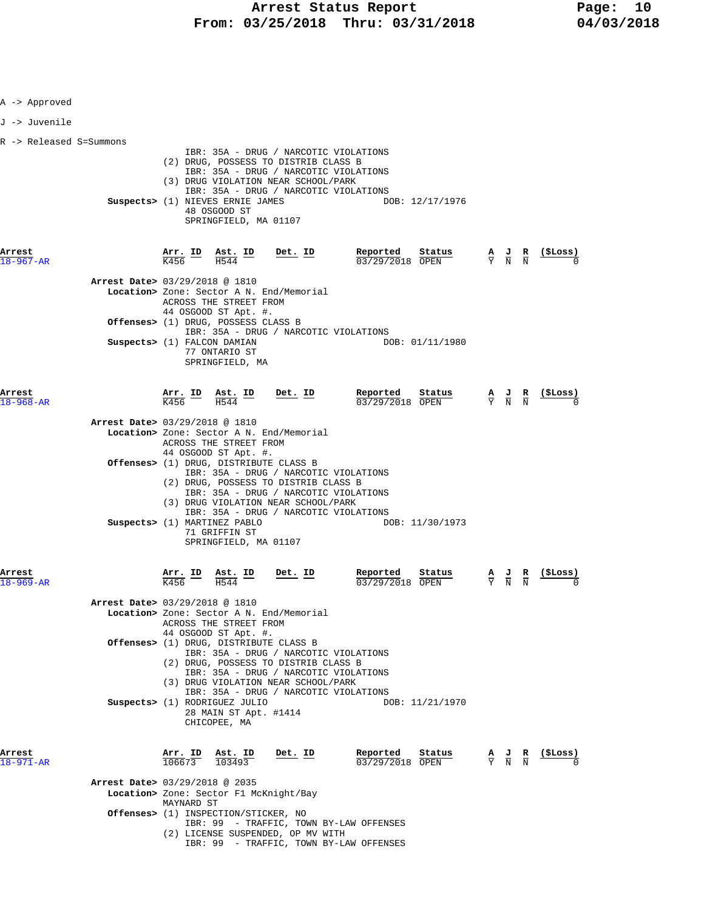| A -> Approved                                     |                                        |                                                                           |                                                                                                                                                                                                        |                                                                                    |                                                                                                 |                                   |
|---------------------------------------------------|----------------------------------------|---------------------------------------------------------------------------|--------------------------------------------------------------------------------------------------------------------------------------------------------------------------------------------------------|------------------------------------------------------------------------------------|-------------------------------------------------------------------------------------------------|-----------------------------------|
| J -> Juvenile                                     |                                        |                                                                           |                                                                                                                                                                                                        |                                                                                    |                                                                                                 |                                   |
| R -> Released S=Summons                           |                                        | Suspects> (1) NIEVES ERNIE JAMES<br>48 OSGOOD ST<br>SPRINGFIELD, MA 01107 | IBR: 35A - DRUG / NARCOTIC VIOLATIONS<br>(2) DRUG, POSSESS TO DISTRIB CLASS B<br>IBR: 35A - DRUG / NARCOTIC VIOLATIONS<br>(3) DRUG VIOLATION NEAR SCHOOL/PARK<br>IBR: 35A - DRUG / NARCOTIC VIOLATIONS | DOB: 12/17/1976                                                                    |                                                                                                 |                                   |
| Arrest<br>$18 - 967 - AR$                         | $\frac{\texttt{Arr.}}{\text{K456}}$ ID | $\frac{\texttt{Ast.}}{\text{H544}}$ ID                                    | $Det$ . ID                                                                                                                                                                                             | Reported<br>Status<br>03/29/2018 OPEN                                              | $\frac{A}{Y}$ $\frac{J}{N}$ $\frac{R}{N}$                                                       | $\frac{(\texttt{SLoss})}{\alpha}$ |
| Arrest Date> 03/29/2018 @ 1810                    |                                        | ACROSS THE STREET FROM<br>44 OSGOOD ST Apt. #.                            | Location> Zone: Sector A N. End/Memorial                                                                                                                                                               |                                                                                    |                                                                                                 |                                   |
| Suspects> (1) FALCON DAMIAN                       |                                        | Offenses> (1) DRUG, POSSESS CLASS B<br>77 ONTARIO ST<br>SPRINGFIELD, MA   | IBR: 35A - DRUG / NARCOTIC VIOLATIONS                                                                                                                                                                  | DOB: 01/11/1980                                                                    |                                                                                                 |                                   |
| Arrest<br>18-968-AR                               | $\frac{\texttt{Arr.}}{\text{K456}}$ ID | $\frac{\texttt{Ast.}}{\text{H544}}$ ID                                    | <u>Det. ID</u>                                                                                                                                                                                         | Reported<br>Status<br>03/29/2018 OPEN                                              | $\frac{\mathbf{A}}{\mathbf{Y}}$ $\frac{\mathbf{J}}{\mathbf{N}}$ $\frac{\mathbf{R}}{\mathbf{N}}$ |                                   |
| Arrest Date> 03/29/2018 @ 1810                    |                                        | ACROSS THE STREET FROM                                                    | Location> Zone: Sector A N. End/Memorial                                                                                                                                                               |                                                                                    |                                                                                                 |                                   |
|                                                   |                                        | 44 OSGOOD ST Apt. #.<br>Offenses> (1) DRUG, DISTRIBUTE CLASS B            | IBR: 35A - DRUG / NARCOTIC VIOLATIONS<br>(2) DRUG, POSSESS TO DISTRIB CLASS B<br>IBR: 35A - DRUG / NARCOTIC VIOLATIONS<br>(3) DRUG VIOLATION NEAR SCHOOL/PARK<br>IBR: 35A - DRUG / NARCOTIC VIOLATIONS |                                                                                    |                                                                                                 |                                   |
| Suspects> (1) MARTINEZ PABLO                      |                                        | 71 GRIFFIN ST<br>SPRINGFIELD, MA 01107                                    |                                                                                                                                                                                                        | DOB: 11/30/1973                                                                    |                                                                                                 |                                   |
| Arrest                                            | <u>Arr. ID</u>                         | <u>Ast. ID</u><br>H544                                                    | Det. ID                                                                                                                                                                                                | Reported<br>Status<br>03/29/2018<br>OPEN                                           | $\frac{\mathbf{A}}{\mathbf{Y}}$ $\frac{\mathbf{J}}{\mathbf{N}}$ $\frac{\mathbf{R}}{\mathbf{N}}$ | ( <b>SLoss</b> )                  |
| Arrest Date> 03/29/2018 @ 1810                    |                                        | ACROSS THE STREET FROM                                                    | Location> Zone: Sector A N. End/Memorial                                                                                                                                                               |                                                                                    |                                                                                                 |                                   |
|                                                   |                                        | 44 OSGOOD ST Apt. #.<br>Offenses> (1) DRUG, DISTRIBUTE CLASS B            | IBR: 35A - DRUG / NARCOTIC VIOLATIONS<br>(2) DRUG, POSSESS TO DISTRIB CLASS B<br>IBR: 35A - DRUG / NARCOTIC VIOLATIONS<br>(3) DRUG VIOLATION NEAR SCHOOL/PARK<br>IBR: 35A - DRUG / NARCOTIC VIOLATIONS |                                                                                    |                                                                                                 |                                   |
| Arrest                                            | Arr. ID Ast. ID                        | Suspects> (1) RODRIGUEZ JULIO<br>28 MAIN ST Apt. #1414<br>CHICOPEE, MA    | Det. ID                                                                                                                                                                                                | DOB: 11/21/1970<br>Reported<br>Status                                              |                                                                                                 | (SLoss)                           |
| $18 - 971 - AR$<br>Arrest Date> 03/29/2018 @ 2035 | $106673$ $103493$                      |                                                                           |                                                                                                                                                                                                        | 03/29/2018 OPEN                                                                    | $\frac{A}{Y}$ $\frac{J}{N}$ $\frac{R}{N}$                                                       |                                   |
|                                                   | MAYNARD ST                             | Offenses> (1) INSPECTION/STICKER, NO                                      | Location> Zone: Sector F1 McKnight/Bay<br>(2) LICENSE SUSPENDED, OP MV WITH                                                                                                                            | IBR: 99 - TRAFFIC, TOWN BY-LAW OFFENSES<br>IBR: 99 - TRAFFIC, TOWN BY-LAW OFFENSES |                                                                                                 |                                   |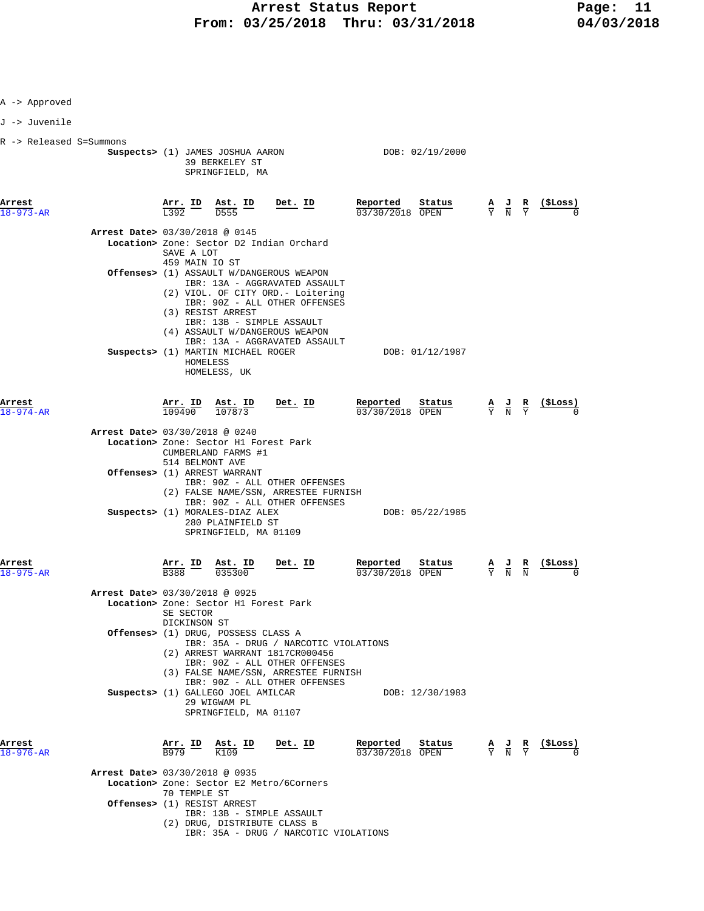|  |  | Approved |
|--|--|----------|
|--|--|----------|

J -> Juvenile

| R -> Released S=Summons |
|-------------------------|
|-------------------------|

|                           |                                |                                      | Suspects> (1) JAMES JOSHUA AARON<br>39 BERKELEY ST<br>SPRINGFIELD, MA                                   |                                                                                                                                                                                         | DOB: 02/19/2000                       |                                                                                                 |                  |
|---------------------------|--------------------------------|--------------------------------------|---------------------------------------------------------------------------------------------------------|-----------------------------------------------------------------------------------------------------------------------------------------------------------------------------------------|---------------------------------------|-------------------------------------------------------------------------------------------------|------------------|
| Arrest<br>$18 - 973 - AR$ |                                | L392                                 | Arr. ID Ast. ID<br>D555                                                                                 | <u>Det. ID</u>                                                                                                                                                                          | Reported<br>Status<br>03/30/2018 OPEN | $\frac{\mathbf{A}}{\mathbf{Y}}$ $\frac{\mathbf{J}}{\mathbf{N}}$ $\frac{\mathbf{R}}{\mathbf{Y}}$ | <u>( SLoss )</u> |
|                           | Arrest Date> 03/30/2018 @ 0145 |                                      |                                                                                                         |                                                                                                                                                                                         |                                       |                                                                                                 |                  |
|                           |                                | SAVE A LOT<br>459 MAIN IO ST         |                                                                                                         | Location> Zone: Sector D2 Indian Orchard                                                                                                                                                |                                       |                                                                                                 |                  |
|                           |                                |                                      | (3) RESIST ARREST                                                                                       | <b>Offenses&gt;</b> (1) ASSAULT W/DANGEROUS WEAPON<br>IBR: 13A - AGGRAVATED ASSAULT<br>(2) VIOL. OF CITY ORD. - Loitering<br>IBR: 90Z - ALL OTHER OFFENSES<br>IBR: 13B - SIMPLE ASSAULT |                                       |                                                                                                 |                  |
|                           |                                | HOMELESS                             | Suspects> (1) MARTIN MICHAEL ROGER<br>HOMELESS, UK                                                      | (4) ASSAULT W/DANGEROUS WEAPON<br>IBR: 13A - AGGRAVATED ASSAULT                                                                                                                         | DOB: 01/12/1987                       |                                                                                                 |                  |
| Arrest<br>$18 - 974 - AR$ |                                | 109490                               | <u>Arr. ID Ast. ID</u><br>107873                                                                        | <u>Det. ID</u>                                                                                                                                                                          | Reported<br>Status<br>03/30/2018 OPEN | $\frac{\mathbf{A}}{\mathbf{Y}}$ $\frac{\mathbf{J}}{\mathbf{N}}$ $\frac{\mathbf{R}}{\mathbf{Y}}$ | <u>(SLoss)</u>   |
|                           | Arrest Date> 03/30/2018 @ 0240 | 514 BELMONT AVE                      | Location> Zone: Sector H1 Forest Park<br>CUMBERLAND FARMS #1                                            |                                                                                                                                                                                         |                                       |                                                                                                 |                  |
|                           |                                |                                      | Offenses> (1) ARREST WARRANT                                                                            | IBR: 90Z - ALL OTHER OFFENSES<br>(2) FALSE NAME/SSN, ARRESTEE FURNISH<br>IBR: 90Z - ALL OTHER OFFENSES                                                                                  |                                       |                                                                                                 |                  |
|                           |                                |                                      | Suspects> (1) MORALES-DIAZ ALEX<br>280 PLAINFIELD ST<br>SPRINGFIELD, MA 01109                           |                                                                                                                                                                                         | DOB: 05/22/1985                       |                                                                                                 |                  |
| Arrest<br>$18 - 975 - AR$ |                                | $\frac{\text{Arr.}}{\text{B}388}$ ID | $\frac{\text{Ast. ID}}{035300}$                                                                         | Det. ID                                                                                                                                                                                 | Reported<br>Status<br>03/30/2018 OPEN | $\frac{\mathbf{A}}{\mathbf{Y}}$ $\frac{\mathbf{J}}{\mathbf{N}}$ $\frac{\mathbf{R}}{\mathbf{N}}$ |                  |
|                           | Arrest Date> 03/30/2018 @ 0925 | SE SECTOR<br>DICKINSON ST            | Location> Zone: Sector H1 Forest Park                                                                   |                                                                                                                                                                                         |                                       |                                                                                                 |                  |
|                           |                                |                                      | Offenses> (1) DRUG, POSSESS CLASS A                                                                     | IBR: 35A - DRUG / NARCOTIC VIOLATIONS<br>(2) ARREST WARRANT 1817CR000456<br>IBR: 90Z - ALL OTHER OFFENSES<br>(3) FALSE NAME/SSN, ARRESTEE FURNISH<br>IBR: 90Z - ALL OTHER OFFENSES      |                                       |                                                                                                 |                  |
|                           |                                |                                      | Suspects> (1) GALLEGO JOEL AMILCAR<br>29 WIGWAM PL<br>SPRINGFIELD, MA 01107                             |                                                                                                                                                                                         | DOB: 12/30/1983                       |                                                                                                 |                  |
| Arrest<br>$18 - 976 - AR$ |                                |                                      | $\frac{\text{Arr.}}{\text{B979}}$ $\frac{\text{B}}{\text{K109}}$ $\frac{\text{H}}{\text{K109}}$<br>K109 | Det. $ID$                                                                                                                                                                               | Reported<br>Status<br>03/30/2018 OPEN | $\frac{\mathbf{A}}{\mathbf{Y}}$ $\frac{\mathbf{J}}{\mathbf{N}}$ $\frac{\mathbf{R}}{\mathbf{Y}}$ | $\frac{1}{2}$    |
|                           | Arrest Date> 03/30/2018 @ 0935 |                                      |                                                                                                         |                                                                                                                                                                                         |                                       |                                                                                                 |                  |
|                           | Offenses> (1) RESIST ARREST    | 70 TEMPLE ST                         |                                                                                                         | Location> Zone: Sector E2 Metro/6Corners                                                                                                                                                |                                       |                                                                                                 |                  |
|                           |                                |                                      | (2) DRUG, DISTRIBUTE CLASS B                                                                            | IBR: 13B - SIMPLE ASSAULT                                                                                                                                                               |                                       |                                                                                                 |                  |

IBR: 35A - DRUG / NARCOTIC VIOLATIONS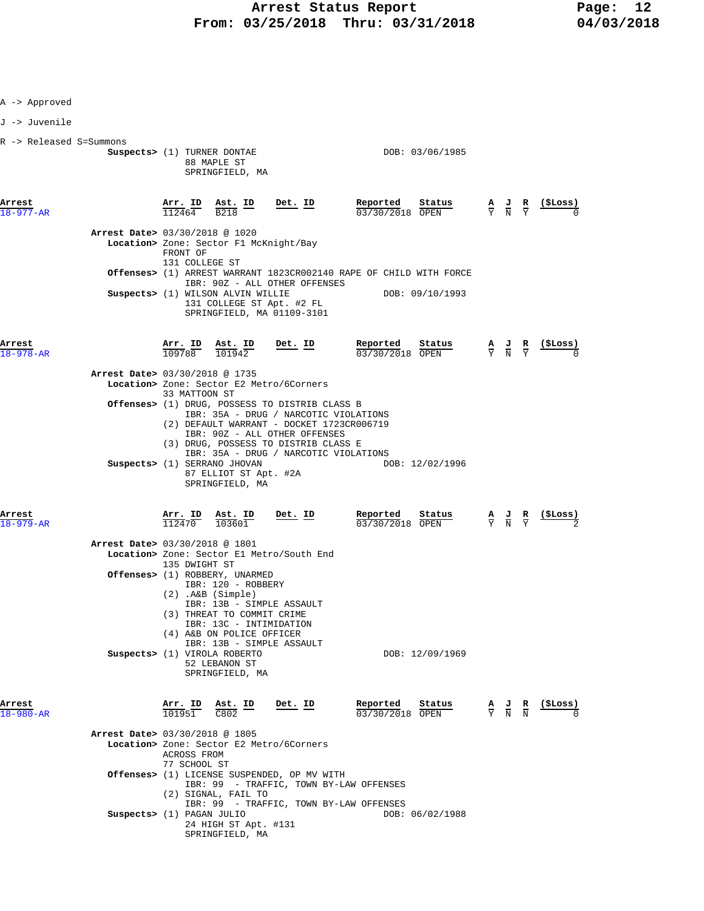| A -> Approved             |                                                                                                                                                                                            |                |                                                                    |                                                                 |                                                                                                 |                |
|---------------------------|--------------------------------------------------------------------------------------------------------------------------------------------------------------------------------------------|----------------|--------------------------------------------------------------------|-----------------------------------------------------------------|-------------------------------------------------------------------------------------------------|----------------|
| J -> Juvenile             |                                                                                                                                                                                            |                |                                                                    |                                                                 |                                                                                                 |                |
|                           |                                                                                                                                                                                            |                |                                                                    |                                                                 |                                                                                                 |                |
| R -> Released S=Summons   | Suspects> (1) TURNER DONTAE<br>88 MAPLE ST<br>SPRINGFIELD, MA                                                                                                                              |                | DOB: 03/06/1985                                                    |                                                                 |                                                                                                 |                |
| Arrest<br>$18 - 977 - AR$ | Arr. ID<br>$\frac{\text{Ast.}}{\text{R210}}$ ID<br>$11246\overline{4}$<br><b>B218</b>                                                                                                      | <u>Det. ID</u> | Reported<br>Status<br>03/30/2018 OPEN                              |                                                                 | $\frac{\mathbf{A}}{\mathbf{Y}}$ $\frac{\mathbf{J}}{\mathbf{N}}$ $\frac{\mathbf{R}}{\mathbf{Y}}$ | (ŞLoss)        |
|                           | Arrest Date> 03/30/2018 @ 1020<br>Location> Zone: Sector F1 McKnight/Bay<br>FRONT OF                                                                                                       |                |                                                                    |                                                                 |                                                                                                 |                |
|                           | 131 COLLEGE ST                                                                                                                                                                             |                | Offenses> (1) ARREST WARRANT 1823CR002140 RAPE OF CHILD WITH FORCE |                                                                 |                                                                                                 |                |
|                           | IBR: 90Z - ALL OTHER OFFENSES<br>Suspects> (1) WILSON ALVIN WILLIE<br>131 COLLEGE ST Apt. #2 FL<br>SPRINGFIELD, MA 01109-3101                                                              |                | DOB: 09/10/1993                                                    |                                                                 |                                                                                                 |                |
| Arrest<br>18-978-AR       | $\frac{\texttt{Arr.}}{109788}$<br>$\frac{\texttt{Ast.}}{101942}$                                                                                                                           | <u>Det. ID</u> | Reported<br>Status<br>03/30/2018 OPEN                              |                                                                 | $\frac{\mathbf{A}}{\mathbf{Y}}$ $\frac{\mathbf{J}}{\mathbf{N}}$ $\frac{\mathbf{R}}{\mathbf{Y}}$ | <u>(SLoss)</u> |
|                           | Arrest Date> 03/30/2018 @ 1735<br>Location> Zone: Sector E2 Metro/6Corners                                                                                                                 |                |                                                                    |                                                                 |                                                                                                 |                |
|                           | 33 MATTOON ST<br><b>Offenses&gt;</b> (1) DRUG, POSSESS TO DISTRIB CLASS B<br>IBR: 35A - DRUG / NARCOTIC VIOLATIONS<br>(2) DEFAULT WARRANT - DOCKET 1723CR006719                            |                |                                                                    |                                                                 |                                                                                                 |                |
|                           | IBR: 90Z - ALL OTHER OFFENSES<br>(3) DRUG, POSSESS TO DISTRIB CLASS E<br>IBR: 35A - DRUG / NARCOTIC VIOLATIONS<br>Suspects> (1) SERRANO JHOVAN<br>87 ELLIOT ST Apt. #2A<br>SPRINGFIELD, MA |                | DOB: 12/02/1996                                                    |                                                                 |                                                                                                 |                |
| Arrest<br>18-979-AR       | $\frac{\text{Arr.}}{112470}$ $\frac{\text{Ast.}}{103601}$                                                                                                                                  | <u>Det. ID</u> | Reported<br>Status<br>03/30/2018 OPEN                              | $\frac{\mathbf{A}}{\mathbf{Y}}$ $\frac{\mathbf{J}}{\mathbf{N}}$ | $rac{\mathbf{R}}{\mathbf{Y}}$                                                                   | <u>(SLoss)</u> |
|                           | Arrest Date> 03/30/2018 @ 1801<br>Location> Zone: Sector El Metro/South End<br>135 DWIGHT ST                                                                                               |                |                                                                    |                                                                 |                                                                                                 |                |
|                           | Offenses> (1) ROBBERY, UNARMED<br>IBR: 120 - ROBBERY<br>$(2)$ . A&B $(Simple)$<br>IBR: 13B - SIMPLE ASSAULT<br>(3) THREAT TO COMMIT CRIME                                                  |                |                                                                    |                                                                 |                                                                                                 |                |
|                           | IBR: 13C - INTIMIDATION<br>(4) A&B ON POLICE OFFICER<br>IBR: 13B - SIMPLE ASSAULT<br>Suspects> (1) VIROLA ROBERTO                                                                          |                | DOB: 12/09/1969                                                    |                                                                 |                                                                                                 |                |
| Arrest                    | 52 LEBANON ST<br>SPRINGFIELD, MA<br>$\frac{\texttt{Arr.}}{101951}$<br><u>Ast. ID</u>                                                                                                       | Det. ID        | Reported<br>Status                                                 | $\frac{\mathbf{A}}{\mathbf{Y}}$ $\frac{\mathbf{J}}{\mathbf{N}}$ | $\frac{R}{N}$                                                                                   | (SLoss)        |
| 18-980-AR                 | C802<br>Arrest Date> 03/30/2018 @ 1805<br>Location> Zone: Sector E2 Metro/6Corners<br>ACROSS FROM                                                                                          |                | 03/30/2018 OPEN                                                    |                                                                 |                                                                                                 |                |
|                           | 77 SCHOOL ST<br><b>Offenses&gt;</b> (1) LICENSE SUSPENDED, OP MV WITH<br>IBR: 99 - TRAFFIC, TOWN BY-LAW OFFENSES<br>(2) SIGNAL, FAIL TO                                                    |                |                                                                    |                                                                 |                                                                                                 |                |
|                           | IBR: 99 - TRAFFIC, TOWN BY-LAW OFFENSES<br>Suspects> (1) PAGAN JULIO<br>24 HIGH ST Apt. #131<br>SPRINGFIELD, MA                                                                            |                | DOB: 06/02/1988                                                    |                                                                 |                                                                                                 |                |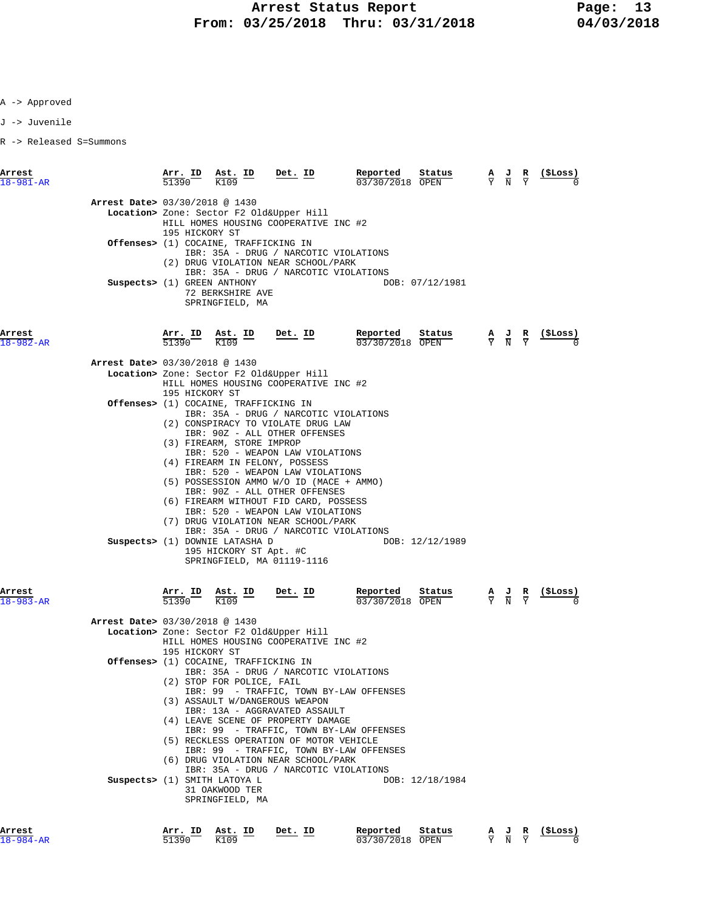J -> Juvenile

R -> Released S=Summons

| Arrest<br>$18 - 981 - AR$      | Arr. ID<br>51390                                                                                                                                                                                                                                                                                                  | Ast. ID<br>K109                                                   | Det. ID                                                                           | Reported<br>03/30/2018 OPEN | Status          | А<br>$\overline{Y}$ | $\frac{J}{N}$ $\frac{R}{Y}$                                                                           | ( \$Loss)      |
|--------------------------------|-------------------------------------------------------------------------------------------------------------------------------------------------------------------------------------------------------------------------------------------------------------------------------------------------------------------|-------------------------------------------------------------------|-----------------------------------------------------------------------------------|-----------------------------|-----------------|---------------------|-------------------------------------------------------------------------------------------------------|----------------|
|                                | Arrest Date> 03/30/2018 @ 1430<br>Location> Zone: Sector F2 Old&Upper Hill<br>HILL HOMES HOUSING COOPERATIVE INC #2<br>195 HICKORY ST<br><b>Offenses&gt;</b> (1) COCAINE, TRAFFICKING IN<br>IBR: 35A - DRUG / NARCOTIC VIOLATIONS<br>(2) DRUG VIOLATION NEAR SCHOOL/PARK<br>IBR: 35A - DRUG / NARCOTIC VIOLATIONS |                                                                   |                                                                                   |                             |                 |                     |                                                                                                       |                |
|                                |                                                                                                                                                                                                                                                                                                                   |                                                                   |                                                                                   |                             |                 |                     |                                                                                                       |                |
| Suspects> (1) GREEN ANTHONY    |                                                                                                                                                                                                                                                                                                                   | 72 BERKSHIRE AVE<br>SPRINGFIELD, MA                               |                                                                                   |                             | DOB: 07/12/1981 |                     |                                                                                                       |                |
| Arrest<br>18-982-AR            | Arr. ID<br>51390                                                                                                                                                                                                                                                                                                  | Ast. ID<br>$\frac{1}{100}$<br>K109                                | <u>Det. ID</u>                                                                    | Reported<br>03/30/2018 OPEN | Status          |                     | $\frac{\mathbf{A}}{\overline{Y}}$ $\frac{\mathbf{J}}{\overline{N}}$ $\frac{\mathbf{R}}{\overline{Y}}$ | (SLoss)        |
| Arrest Date> 03/30/2018 @ 1430 |                                                                                                                                                                                                                                                                                                                   |                                                                   |                                                                                   |                             |                 |                     |                                                                                                       |                |
|                                |                                                                                                                                                                                                                                                                                                                   |                                                                   | Location> Zone: Sector F2 Old&Upper Hill<br>HILL HOMES HOUSING COOPERATIVE INC #2 |                             |                 |                     |                                                                                                       |                |
|                                | 195 HICKORY ST                                                                                                                                                                                                                                                                                                    |                                                                   |                                                                                   |                             |                 |                     |                                                                                                       |                |
|                                |                                                                                                                                                                                                                                                                                                                   | Offenses> (1) COCAINE, TRAFFICKING IN                             | IBR: 35A - DRUG / NARCOTIC VIOLATIONS                                             |                             |                 |                     |                                                                                                       |                |
|                                |                                                                                                                                                                                                                                                                                                                   |                                                                   | (2) CONSPIRACY TO VIOLATE DRUG LAW                                                |                             |                 |                     |                                                                                                       |                |
|                                |                                                                                                                                                                                                                                                                                                                   | (3) FIREARM, STORE IMPROP                                         | IBR: 90Z - ALL OTHER OFFENSES                                                     |                             |                 |                     |                                                                                                       |                |
|                                |                                                                                                                                                                                                                                                                                                                   |                                                                   | IBR: 520 - WEAPON LAW VIOLATIONS<br>(4) FIREARM IN FELONY, POSSESS                |                             |                 |                     |                                                                                                       |                |
|                                |                                                                                                                                                                                                                                                                                                                   |                                                                   | IBR: 520 - WEAPON LAW VIOLATIONS                                                  |                             |                 |                     |                                                                                                       |                |
|                                |                                                                                                                                                                                                                                                                                                                   |                                                                   | (5) POSSESSION AMMO W/O ID (MACE + AMMO)<br>IBR: 90Z - ALL OTHER OFFENSES         |                             |                 |                     |                                                                                                       |                |
|                                |                                                                                                                                                                                                                                                                                                                   |                                                                   | (6) FIREARM WITHOUT FID CARD, POSSESS                                             |                             |                 |                     |                                                                                                       |                |
|                                |                                                                                                                                                                                                                                                                                                                   |                                                                   | IBR: 520 - WEAPON LAW VIOLATIONS<br>(7) DRUG VIOLATION NEAR SCHOOL/PARK           |                             |                 |                     |                                                                                                       |                |
|                                |                                                                                                                                                                                                                                                                                                                   |                                                                   | IBR: 35A - DRUG / NARCOTIC VIOLATIONS                                             |                             |                 |                     |                                                                                                       |                |
|                                |                                                                                                                                                                                                                                                                                                                   | Suspects> (1) DOWNIE LATASHA D<br>195 HICKORY ST Apt. #C          | SPRINGFIELD, MA 01119-1116                                                        |                             | DOB: 12/12/1989 |                     |                                                                                                       |                |
| Arrest<br>$18 - 983 - AR$      | Arr. ID<br>51390                                                                                                                                                                                                                                                                                                  | Ast. ID<br>K109                                                   | Det. ID                                                                           | Reported<br>03/30/2018 OPEN | Status          |                     | $\frac{\mathbf{A}}{\overline{Y}}$ $\frac{\mathbf{J}}{\overline{N}}$ $\frac{\mathbf{R}}{\overline{Y}}$ |                |
| Arrest Date> 03/30/2018 @ 1430 |                                                                                                                                                                                                                                                                                                                   |                                                                   |                                                                                   |                             |                 |                     |                                                                                                       |                |
|                                |                                                                                                                                                                                                                                                                                                                   |                                                                   | Location> Zone: Sector F2 Old&Upper Hill                                          |                             |                 |                     |                                                                                                       |                |
|                                | 195 HICKORY ST                                                                                                                                                                                                                                                                                                    |                                                                   | HILL HOMES HOUSING COOPERATIVE INC #2                                             |                             |                 |                     |                                                                                                       |                |
|                                |                                                                                                                                                                                                                                                                                                                   | <b>Offenses&gt;</b> (1) COCAINE, TRAFFICKING IN                   |                                                                                   |                             |                 |                     |                                                                                                       |                |
|                                |                                                                                                                                                                                                                                                                                                                   | (2) STOP FOR POLICE, FAIL                                         | IBR: 35A - DRUG / NARCOTIC VIOLATIONS                                             |                             |                 |                     |                                                                                                       |                |
|                                |                                                                                                                                                                                                                                                                                                                   |                                                                   | IBR: 99 - TRAFFIC, TOWN BY-LAW OFFENSES                                           |                             |                 |                     |                                                                                                       |                |
|                                |                                                                                                                                                                                                                                                                                                                   |                                                                   | (3) ASSAULT W/DANGEROUS WEAPON<br>IBR: 13A - AGGRAVATED ASSAULT                   |                             |                 |                     |                                                                                                       |                |
|                                |                                                                                                                                                                                                                                                                                                                   |                                                                   | (4) LEAVE SCENE OF PROPERTY DAMAGE<br>IBR: 99 - TRAFFIC, TOWN BY-LAW OFFENSES     |                             |                 |                     |                                                                                                       |                |
|                                |                                                                                                                                                                                                                                                                                                                   |                                                                   | (5) RECKLESS OPERATION OF MOTOR VEHICLE                                           |                             |                 |                     |                                                                                                       |                |
|                                |                                                                                                                                                                                                                                                                                                                   |                                                                   | IBR: 99 - TRAFFIC, TOWN BY-LAW OFFENSES<br>(6) DRUG VIOLATION NEAR SCHOOL/PARK    |                             |                 |                     |                                                                                                       |                |
|                                |                                                                                                                                                                                                                                                                                                                   |                                                                   | IBR: 35A - DRUG / NARCOTIC VIOLATIONS                                             |                             |                 |                     |                                                                                                       |                |
|                                |                                                                                                                                                                                                                                                                                                                   | Suspects> (1) SMITH LATOYA L<br>31 OAKWOOD TER<br>SPRINGFIELD, MA |                                                                                   |                             | DOB: 12/18/1984 |                     |                                                                                                       |                |
| Arrest                         |                                                                                                                                                                                                                                                                                                                   | Arr. ID Ast. ID                                                   | Det. ID                                                                           | Reported                    | Status          |                     |                                                                                                       | A J R (\$Loss) |

18-984-AR 51390 K109 03/30/2018 OPEN Y N Y 0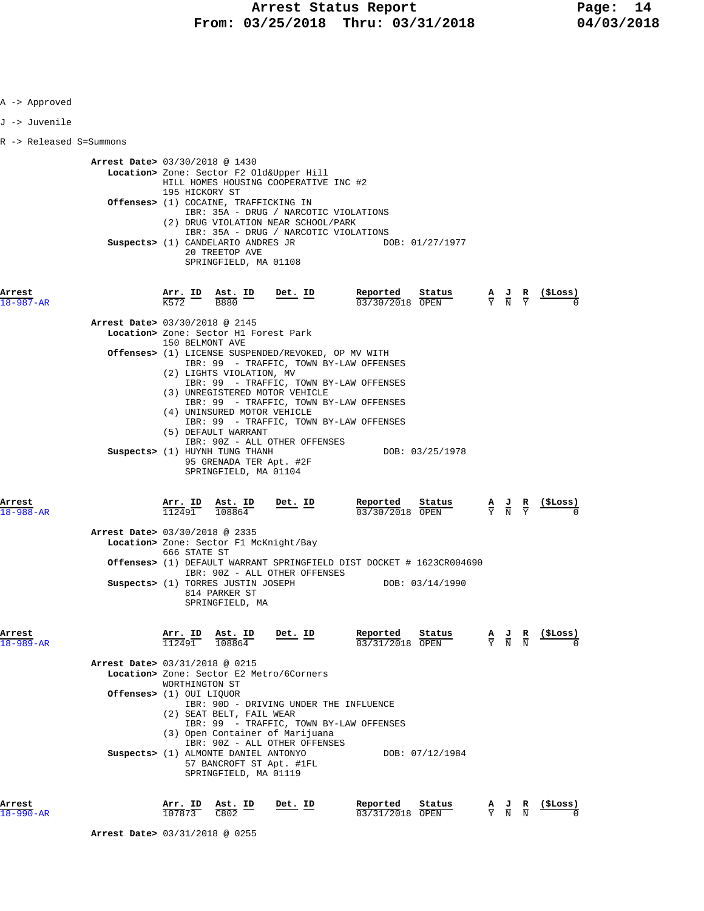| A -> Approved           |                                                                                                                                                   |                                                                                                                                                                                                                                     |                                                                                                   |                                                                                                       |                          |
|-------------------------|---------------------------------------------------------------------------------------------------------------------------------------------------|-------------------------------------------------------------------------------------------------------------------------------------------------------------------------------------------------------------------------------------|---------------------------------------------------------------------------------------------------|-------------------------------------------------------------------------------------------------------|--------------------------|
| J -> Juvenile           |                                                                                                                                                   |                                                                                                                                                                                                                                     |                                                                                                   |                                                                                                       |                          |
| R -> Released S=Summons |                                                                                                                                                   |                                                                                                                                                                                                                                     |                                                                                                   |                                                                                                       |                          |
|                         | Arrest Date> 03/30/2018 @ 1430<br>195 HICKORY ST<br>Offenses> (1) COCAINE, TRAFFICKING IN<br>Suspects> (1) CANDELARIO ANDRES JR<br>20 TREETOP AVE | Location> Zone: Sector F2 Old&Upper Hill<br>HILL HOMES HOUSING COOPERATIVE INC #2<br>IBR: 35A - DRUG / NARCOTIC VIOLATIONS<br>(2) DRUG VIOLATION NEAR SCHOOL/PARK<br>IBR: 35A - DRUG / NARCOTIC VIOLATIONS<br>SPRINGFIELD, MA 01108 | DOB: 01/27/1977                                                                                   |                                                                                                       |                          |
| $8 - 987 - AR$          | $\frac{\texttt{Arr.}}{\text{K}572}$ ID                                                                                                            | Det. ID<br>$\frac{\texttt{Ast.}}{\texttt{B880}}$ ID                                                                                                                                                                                 | Reported<br>Status<br>03/30/2018 OPEN                                                             | $\frac{A}{Y}$ $\frac{J}{N}$ $\frac{R}{Y}$                                                             |                          |
|                         | Arrest Date> 03/30/2018 @ 2145<br>Location> Zone: Sector H1 Forest Park<br>150 BELMONT AVE<br>(2) LIGHTS VIOLATION, MV                            | Offenses> (1) LICENSE SUSPENDED/REVOKED, OP MV WITH<br>IBR: 99 - TRAFFIC, TOWN BY-LAW OFFENSES<br>IBR: 99 - TRAFFIC, TOWN BY-LAW OFFENSES<br>(3) UNREGISTERED MOTOR VEHICLE<br>IBR: 99 - TRAFFIC, TOWN BY-LAW OFFENSES              |                                                                                                   |                                                                                                       |                          |
|                         | (4) UNINSURED MOTOR VEHICLE<br>(5) DEFAULT WARRANT<br>Suspects> (1) HUYNH TUNG THANH                                                              | IBR: 99 - TRAFFIC, TOWN BY-LAW OFFENSES<br>IBR: 90Z - ALL OTHER OFFENSES<br>95 GRENADA TER Apt. #2F<br>SPRINGFIELD, MA 01104                                                                                                        | DOB: 03/25/1978                                                                                   |                                                                                                       |                          |
| Arrest<br>18-988-AR     | Arr. ID Ast. ID<br>112491<br>108864                                                                                                               | Det. ID                                                                                                                                                                                                                             | <b>Reported</b> Status A J R<br>$\frac{1}{03}/30/2018$ OPEN $\frac{1}{Y}$ N Y                     |                                                                                                       | (ŞLoss)                  |
|                         | Arrest Date> 03/30/2018 @ 2335<br>Location> Zone: Sector F1 McKnight/Bay<br>666 STATE ST<br>Suspects> (1) TORRES JUSTIN JOSEPH                    | IBR: 90Z - ALL OTHER OFFENSES                                                                                                                                                                                                       | <b>Offenses&gt;</b> (1) DEFAULT WARRANT SPRINGFIELD DIST DOCKET # 1623CR004690<br>DOB: 03/14/1990 |                                                                                                       |                          |
|                         | 814 PARKER ST<br>SPRINGFIELD, MA                                                                                                                  |                                                                                                                                                                                                                                     |                                                                                                   |                                                                                                       |                          |
| Arrest<br>18-989-AR     | Ast. ID<br>Arr. ID<br>112491<br>108864<br>Arrest Date> 03/31/2018 @ 0215                                                                          | Det. ID                                                                                                                                                                                                                             | Reported<br>Status<br>03/31/2018 OPEN                                                             | $rac{\mathbf{A}}{\mathbf{Y}}$<br>$\frac{J}{N}$                                                        | (ŞLoss)<br>$\frac{R}{N}$ |
|                         | WORTHINGTON ST                                                                                                                                    | Location> Zone: Sector E2 Metro/6Corners                                                                                                                                                                                            |                                                                                                   |                                                                                                       |                          |
|                         | Offenses> (1) OUI LIOUOR<br>(2) SEAT BELT, FAIL WEAR<br>Suspects> (1) ALMONTE DANIEL ANTONYO                                                      | IBR: 90D - DRIVING UNDER THE INFLUENCE<br>IBR: 99 - TRAFFIC, TOWN BY-LAW OFFENSES<br>(3) Open Container of Marijuana<br>IBR: 90Z - ALL OTHER OFFENSES<br>57 BANCROFT ST Apt. #1FL                                                   | DOB: 07/12/1984                                                                                   |                                                                                                       |                          |
| Arrest<br>$-990 - AR$   | Arr. ID<br>Ast. ID<br>107873<br>C802                                                                                                              | SPRINGFIELD, MA 01119<br>Det. ID                                                                                                                                                                                                    | Reported<br>Status<br>03/31/2018 OPEN                                                             | $\frac{\mathbf{A}}{\overline{Y}}$ $\frac{\mathbf{J}}{\overline{N}}$ $\frac{\mathbf{R}}{\overline{N}}$ | (ŞLoss)                  |

 **Arrest Date>** 03/31/2018 @ 0255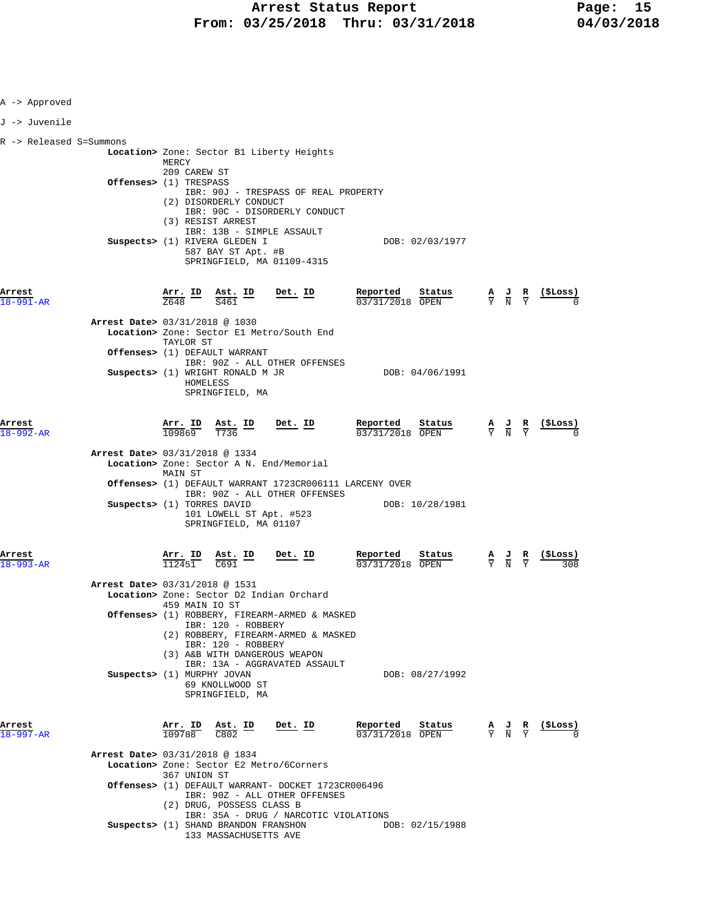| A -> Approved             |                                                                                                                                           |                                       |                                                                                                 |                  |
|---------------------------|-------------------------------------------------------------------------------------------------------------------------------------------|---------------------------------------|-------------------------------------------------------------------------------------------------|------------------|
| J -> Juvenile             |                                                                                                                                           |                                       |                                                                                                 |                  |
| R -> Released S=Summons   |                                                                                                                                           |                                       |                                                                                                 |                  |
|                           | Location> Zone: Sector B1 Liberty Heights<br>MERCY                                                                                        |                                       |                                                                                                 |                  |
|                           | 209 CAREW ST<br>Offenses> (1) TRESPASS<br>IBR: 90J - TRESPASS OF REAL PROPERTY<br>(2) DISORDERLY CONDUCT<br>IBR: 90C - DISORDERLY CONDUCT |                                       |                                                                                                 |                  |
|                           | (3) RESIST ARREST<br>IBR: 13B - SIMPLE ASSAULT<br>Suspects> (1) RIVERA GLEDEN I<br>587 BAY ST Apt. #B<br>SPRINGFIELD, MA 01109-4315       | DOB: 02/03/1977                       |                                                                                                 |                  |
| Arrest<br>18-991-AR       | $\frac{\text{Arr.}}{7648}$ ID<br>Ast. ID<br><u>Det. ID</u><br>Z648<br>S461                                                                | Reported<br>Status<br>03/31/2018 OPEN | $\frac{A}{Y}$ $\frac{J}{N}$ $\frac{R}{Y}$                                                       | <u>( SLoss )</u> |
|                           | Arrest Date> 03/31/2018 @ 1030<br>Location> Zone: Sector El Metro/South End                                                               |                                       |                                                                                                 |                  |
|                           | TAYLOR ST<br>Offenses> (1) DEFAULT WARRANT                                                                                                |                                       |                                                                                                 |                  |
|                           | IBR: 90Z - ALL OTHER OFFENSES<br>Suspects> (1) WRIGHT RONALD M JR<br>HOMELESS<br>SPRINGFIELD, MA                                          | DOB: 04/06/1991                       |                                                                                                 |                  |
| Arrest<br>18-992-AR       | $\frac{\texttt{Arr. ID}}{109869}$<br>$\frac{\text{Ast.}}{\text{T736}}$ ID<br>$Det$ . ID<br>T736                                           | Reported<br>Status<br>03/31/2018 OPEN | $\frac{\mathbf{A}}{\mathbf{Y}}$ $\frac{\mathbf{J}}{\mathbf{N}}$ $\frac{\mathbf{R}}{\mathbf{Y}}$ | $\frac{1}{2}$    |
|                           | Arrest Date> 03/31/2018 @ 1334<br>Location> Zone: Sector A N. End/Memorial<br>MAIN ST                                                     |                                       |                                                                                                 |                  |
|                           | Offenses> (1) DEFAULT WARRANT 1723CR006111 LARCENY OVER<br>IBR: 90Z - ALL OTHER OFFENSES                                                  |                                       |                                                                                                 |                  |
|                           | Suspects> (1) TORRES DAVID<br>101 LOWELL ST Apt. #523<br>SPRINGFIELD, MA 01107                                                            | DOB: 10/28/1981                       |                                                                                                 |                  |
| Arrest<br>$18 - 993 - AR$ | Arr. ID<br><u>Ast. ID</u><br><u>Det. ID</u><br>112451<br>C691                                                                             | Reported<br>Status<br>03/31/2018 OPEN | $\frac{A}{Y}$ $\frac{J}{N}$ $\frac{R}{Y}$                                                       | <u>(SLoss)</u>   |
|                           | Arrest Date> 03/31/2018 @ 1531<br>Location> Zone: Sector D2 Indian Orchard                                                                |                                       |                                                                                                 |                  |
|                           | 459 MAIN IO ST<br>Offenses> (1) ROBBERY, FIREARM-ARMED & MASKED<br>IBR: 120 - ROBBERY<br>(2) ROBBERY, FIREARM-ARMED & MASKED              |                                       |                                                                                                 |                  |
|                           | IBR: 120 - ROBBERY<br>(3) A&B WITH DANGEROUS WEAPON<br>IBR: 13A - AGGRAVATED ASSAULT                                                      |                                       |                                                                                                 |                  |
|                           | Suspects> (1) MURPHY JOVAN<br>69 KNOLLWOOD ST<br>SPRINGFIELD, MA                                                                          | DOB: 08/27/1992                       |                                                                                                 |                  |
| Arrest<br>18-997-AR       | Arr. ID<br>Ast. ID<br>Det. ID<br>109788<br>C802                                                                                           | Reported<br>Status<br>03/31/2018 OPEN | $\frac{A}{Y}$ $\frac{J}{N}$ $\frac{R}{Y}$                                                       | <u>(SLoss)</u>   |
|                           | Arrest Date> 03/31/2018 @ 1834<br>Location> Zone: Sector E2 Metro/6Corners                                                                |                                       |                                                                                                 |                  |
|                           | 367 UNION ST<br>Offenses> (1) DEFAULT WARRANT- DOCKET 1723CR006496<br>IBR: 90Z - ALL OTHER OFFENSES<br>(2) DRUG, POSSESS CLASS B          |                                       |                                                                                                 |                  |
|                           | IBR: 35A - DRUG / NARCOTIC VIOLATIONS<br>Suspects> (1) SHAND BRANDON FRANSHON<br>133 MASSACHUSETTS AVE                                    | DOB: 02/15/1988                       |                                                                                                 |                  |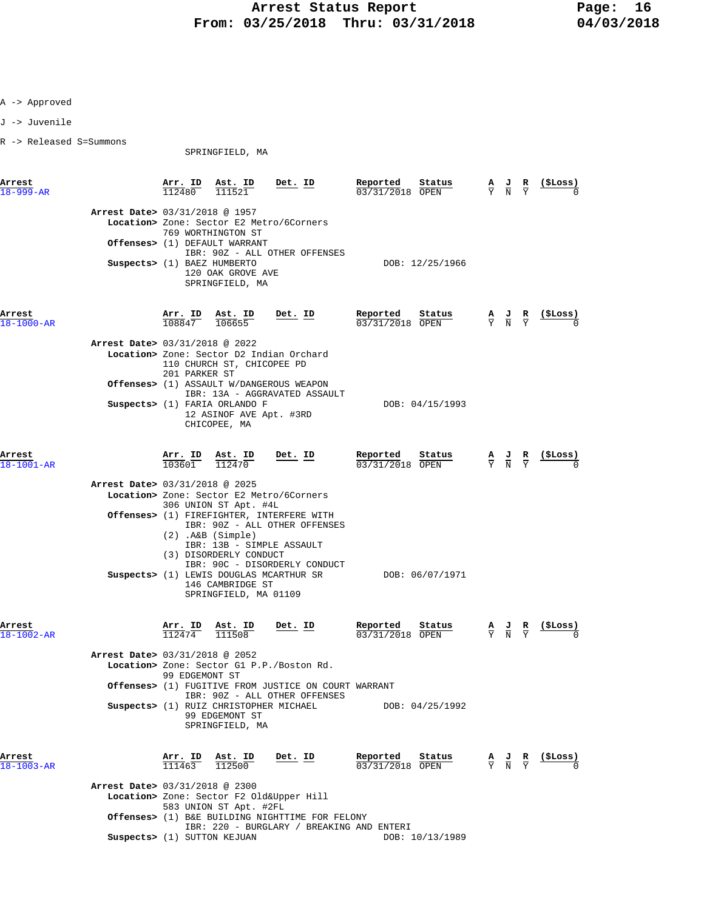J -> Juvenile

R -> Released S=Summons

SPRINGFIELD, MA

**Arrest Arr. ID Ast. ID Det. ID Reported Status A J R (\$Loss)** 18-999-AR 112480 111521 03/31/2018 OPEN Y N Y 0  **Arrest Date>** 03/31/2018 @ 1957  **Location>** Zone: Sector E2 Metro/6Corners 769 WORTHINGTON ST  **Offenses>** (1) DEFAULT WARRANT IBR: 90Z - ALL OTHER OFFENSES  **Suspects>** (1) BAEZ HUMBERTO DOB: 12/25/1966 120 OAK GROVE AVE SPRINGFIELD, MA **Arrest Arr. ID Ast. ID Det. ID Reported Status A J R (\$Loss)**  $\overline{108847}$   $\overline{108847}$   $\overline{106655}$   $\overline{03/31/2018}$   $\overline{OPEN}$   $\overline{Y}$   $\overline{N}$   $\overline{Y}$   $\overline{0}$   $0$  **Arrest Date>** 03/31/2018 @ 2022  **Location>** Zone: Sector D2 Indian Orchard 110 CHURCH ST, CHICOPEE PD 201 PARKER ST  **Offenses>** (1) ASSAULT W/DANGEROUS WEAPON IBR: 13A - AGGRAVATED ASSAULT **Suspects>** (1) FARIA ORLANDO F DOB: 04/15/1993 12 ASINOF AVE Apt. #3RD CHICOPEE, MA **Arrest Arr. ID Ast. ID Det. ID Reported Status A J R (\$Loss)** 18-1001-AR 103601 112470 03/31/2018 OPEN Y N Y 0  **Arrest Date>** 03/31/2018 @ 2025  **Location>** Zone: Sector E2 Metro/6Corners 306 UNION ST Apt. #4L  **Offenses>** (1) FIREFIGHTER, INTERFERE WITH IBR: 90Z - ALL OTHER OFFENSES (2) .A&B (Simple) IBR: 13B - SIMPLE ASSAULT (3) DISORDERLY CONDUCT IBR: 90C - DISORDERLY CONDUCT **Suspects>** (1) LEWIS DOUGLAS MCARTHUR SR DOB: 06/07/1971 146 CAMBRIDGE ST SPRINGFIELD, MA 01109 **Arrest Arr. ID Ast. ID Det. ID Reported Status A J R (\$Loss)** 18-1002-AR 112474 111508 03/31/2018 OPEN Y N Y 0  **Arrest Date>** 03/31/2018 @ 2052  **Location>** Zone: Sector G1 P.P./Boston Rd. 99 EDGEMONT ST  **Offenses>** (1) FUGITIVE FROM JUSTICE ON COURT WARRANT IBR: 90Z - ALL OTHER OFFENSES Suspects> (1) RUIZ CHRISTOPHER MICHAEL DOB: 04/25/1992 99 EDGEMONT ST SPRINGFIELD, MA **Arrest Arr. ID Ast. ID Det. ID Reported Status A J R (\$Loss)**<br>18-1003-AR 111463 112500 **Det. ID** 03/31/2018 OPEN  $\frac{1}{2}$  N  $\frac{1}{2}$  0  $\frac{18-1003-R}{111463}$   $\frac{111463}{112500}$  -  $\frac{1}{103/31/2018}$   $\frac{9F}{9F}$  **Arrest Date>** 03/31/2018 @ 2300  **Location>** Zone: Sector F2 Old&Upper Hill 583 UNION ST Apt. #2FL  **Offenses>** (1) B&E BUILDING NIGHTTIME FOR FELONY IBR: 220 - BURGLARY / BREAKING AND ENTERI

**Suspects>** (1) SUTTON KEJUAN DOB: 10/13/1989